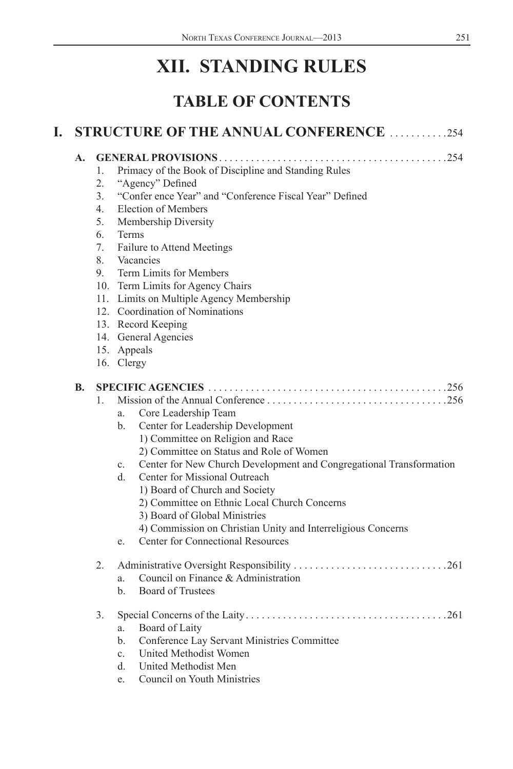# **XII. STANDING RULES**

# **TABLE OF CONTENTS**

| I. |    |                                                                              | <b>STRUCTURE OF THE ANNUAL CONFERENCE 254</b>                                                                                                                                                                                                                                                                                                                                                                                                                                                                 |
|----|----|------------------------------------------------------------------------------|---------------------------------------------------------------------------------------------------------------------------------------------------------------------------------------------------------------------------------------------------------------------------------------------------------------------------------------------------------------------------------------------------------------------------------------------------------------------------------------------------------------|
|    | A. | $1_{-}$<br>2.<br>3 <sub>1</sub><br>$4_{\cdot}$<br>5.<br>6.<br>7.<br>8.<br>9. | Primacy of the Book of Discipline and Standing Rules<br>"Agency" Defined<br>"Confer ence Year" and "Conference Fiscal Year" Defined<br>Election of Members<br>Membership Diversity<br><b>Terms</b><br>Failure to Attend Meetings<br>Vacancies<br>Term Limits for Members<br>10. Term Limits for Agency Chairs<br>11. Limits on Multiple Agency Membership<br>12. Coordination of Nominations<br>13. Record Keeping<br>14. General Agencies<br>15. Appeals<br>16. Clergy                                       |
|    | В. | $\mathbf{1}$                                                                 | Core Leadership Team<br>a.<br>Center for Leadership Development<br>b.<br>1) Committee on Religion and Race<br>2) Committee on Status and Role of Women<br>Center for New Church Development and Congregational Transformation<br>$c_{-}$<br>Center for Missional Outreach<br>d.<br>1) Board of Church and Society<br>2) Committee on Ethnic Local Church Concerns<br>3) Board of Global Ministries<br>4) Commission on Christian Unity and Interreligious Concerns<br>Center for Connectional Resources<br>e. |
|    |    | 2.                                                                           | Council on Finance & Administration<br>a.<br><b>Board of Trustees</b><br>$\mathbf{b}$ .                                                                                                                                                                                                                                                                                                                                                                                                                       |
|    |    | 3.                                                                           | Board of Laity<br>a.<br>Conference Lay Servant Ministries Committee<br>b.<br>United Methodist Women<br>$c_{\cdot}$<br>United Methodist Men<br>d.<br>Council on Youth Ministries<br>e.                                                                                                                                                                                                                                                                                                                         |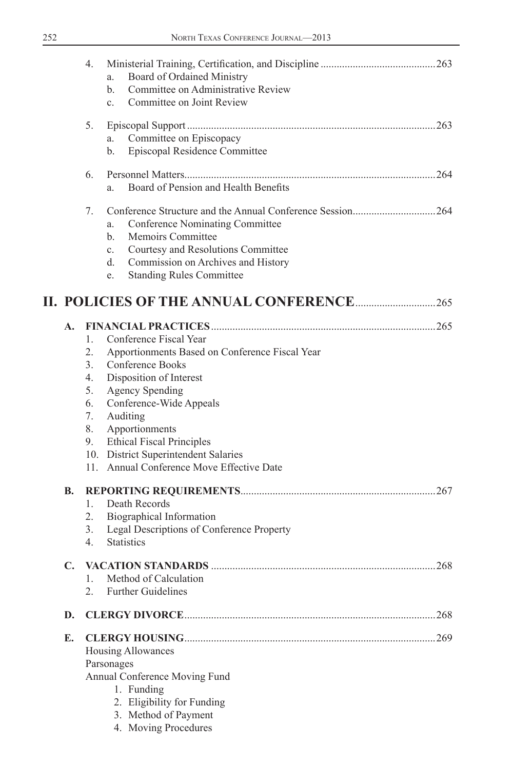|    | 4.                                                      | Board of Ordained Ministry<br>a.<br>Committee on Administrative Review<br>b.<br>Committee on Joint Review<br>c.                                                                                                                                                                                                                     |      |
|----|---------------------------------------------------------|-------------------------------------------------------------------------------------------------------------------------------------------------------------------------------------------------------------------------------------------------------------------------------------------------------------------------------------|------|
|    | 5.                                                      | Committee on Episcopacy<br>a.                                                                                                                                                                                                                                                                                                       |      |
|    |                                                         | Episcopal Residence Committee<br>b.                                                                                                                                                                                                                                                                                                 |      |
|    | 6.                                                      | Board of Pension and Health Benefits<br>a.                                                                                                                                                                                                                                                                                          |      |
|    | 7.                                                      | Conference Nominating Committee<br>a.<br><b>Memoirs Committee</b><br>b.<br>Courtesy and Resolutions Committee<br>$c_{-}$<br>Commission on Archives and History<br>d.<br><b>Standing Rules Committee</b><br>e.                                                                                                                       |      |
|    |                                                         |                                                                                                                                                                                                                                                                                                                                     |      |
| A. | $1_{-}$<br>2.<br>3.<br>4.<br>5.<br>6.<br>7.<br>8.<br>9. | Conference Fiscal Year<br>Apportionments Based on Conference Fiscal Year<br>Conference Books<br>Disposition of Interest<br><b>Agency Spending</b><br>Conference-Wide Appeals<br>Auditing<br>Apportionments<br><b>Ethical Fiscal Principles</b><br>10. District Superintendent Salaries<br>11. Annual Conference Move Effective Date |      |
| В. | 2.<br>3.<br>$4_{\cdot}$                                 | 1. Death Records<br>Biographical Information<br>Legal Descriptions of Conference Property<br><b>Statistics</b>                                                                                                                                                                                                                      |      |
| C. | 1.                                                      | Method of Calculation<br><b>Further Guidelines</b>                                                                                                                                                                                                                                                                                  |      |
| D. |                                                         |                                                                                                                                                                                                                                                                                                                                     | 268  |
| Е. |                                                         | Housing Allowances<br>Parsonages<br>Annual Conference Moving Fund<br>1. Funding<br>2. Eligibility for Funding<br>3. Method of Payment<br>4. Moving Procedures                                                                                                                                                                       | .269 |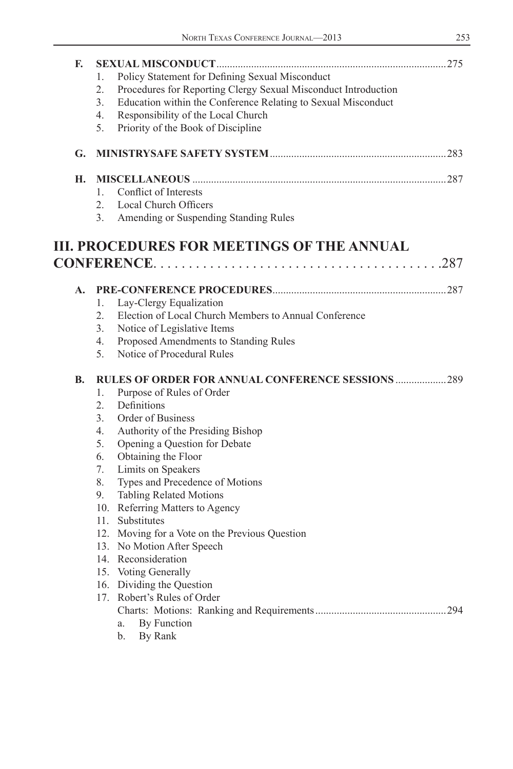| F. | Policy Statement for Defining Sexual Misconduct<br>1.<br>2.<br>Procedures for Reporting Clergy Sexual Misconduct Introduction<br>3.<br>Education within the Conference Relating to Sexual Misconduct<br>Responsibility of the Local Church<br>4.<br>5.<br>Priority of the Book of Discipline |  |
|----|----------------------------------------------------------------------------------------------------------------------------------------------------------------------------------------------------------------------------------------------------------------------------------------------|--|
| G. |                                                                                                                                                                                                                                                                                              |  |
| Н. |                                                                                                                                                                                                                                                                                              |  |
|    | Conflict of Interests<br>1.                                                                                                                                                                                                                                                                  |  |
|    | 2 <sub>1</sub><br>Local Church Officers                                                                                                                                                                                                                                                      |  |
|    | 3 <sub>1</sub><br>Amending or Suspending Standing Rules                                                                                                                                                                                                                                      |  |
|    | <b>III. PROCEDURES FOR MEETINGS OF THE ANNUAL</b>                                                                                                                                                                                                                                            |  |
|    |                                                                                                                                                                                                                                                                                              |  |
| A. |                                                                                                                                                                                                                                                                                              |  |
|    | Lay-Clergy Equalization<br>1.                                                                                                                                                                                                                                                                |  |
|    | Election of Local Church Members to Annual Conference<br>2.                                                                                                                                                                                                                                  |  |
|    | 3.<br>Notice of Legislative Items                                                                                                                                                                                                                                                            |  |
|    | Proposed Amendments to Standing Rules<br>4.                                                                                                                                                                                                                                                  |  |
|    | 5.<br>Notice of Procedural Rules                                                                                                                                                                                                                                                             |  |
| В. | <b>RULES OF ORDER FOR ANNUAL CONFERENCE SESSIONS 289</b>                                                                                                                                                                                                                                     |  |
|    | Purpose of Rules of Order<br>1.                                                                                                                                                                                                                                                              |  |
|    | 2.<br>Definitions                                                                                                                                                                                                                                                                            |  |
|    | 3.<br>Order of Business                                                                                                                                                                                                                                                                      |  |
|    | Authority of the Presiding Bishop<br>$4_{\cdot}$                                                                                                                                                                                                                                             |  |
|    | 5.<br>Opening a Question for Debate                                                                                                                                                                                                                                                          |  |
|    | Obtaining the Floor<br>6.                                                                                                                                                                                                                                                                    |  |
|    | 7.<br>Limits on Speakers                                                                                                                                                                                                                                                                     |  |
|    | Types and Precedence of Motions<br>8.                                                                                                                                                                                                                                                        |  |
|    | 9.<br><b>Tabling Related Motions</b>                                                                                                                                                                                                                                                         |  |
|    | 10. Referring Matters to Agency                                                                                                                                                                                                                                                              |  |
|    | 11. Substitutes                                                                                                                                                                                                                                                                              |  |
|    | 12. Moving for a Vote on the Previous Question                                                                                                                                                                                                                                               |  |
|    | 13. No Motion After Speech                                                                                                                                                                                                                                                                   |  |
|    | 14. Reconsideration                                                                                                                                                                                                                                                                          |  |
|    | 15. Voting Generally                                                                                                                                                                                                                                                                         |  |
|    | 16. Dividing the Question<br>17. Robert's Rules of Order                                                                                                                                                                                                                                     |  |
|    |                                                                                                                                                                                                                                                                                              |  |
|    | By Function<br>a.                                                                                                                                                                                                                                                                            |  |
|    | By Rank<br>b.                                                                                                                                                                                                                                                                                |  |
|    |                                                                                                                                                                                                                                                                                              |  |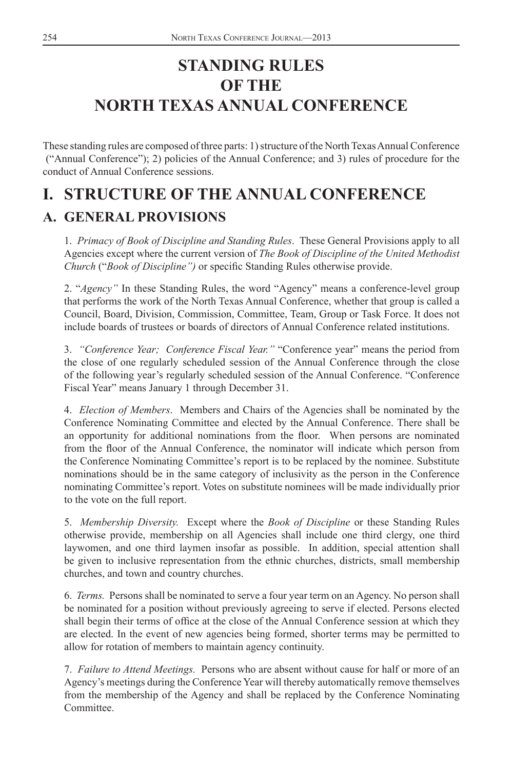# <span id="page-3-0"></span>**STANDING RULES OF THE NORTH TEXAS ANNUAL CONFERENCE**

These standing rules are composed of three parts: 1) structure of the North Texas Annual Conference ("Annual Conference"); 2) policies of the Annual Conference; and 3) rules of procedure for the conduct of Annual Conference sessions.

# **I. STRUCTURE OF THE ANNUAL CONFERENCE**

# **A. GENERAL PROVISIONS**

1. *Primacy of Book of Discipline and Standing Rules*. These General Provisions apply to all Agencies except where the current version of *The Book of Discipline of the United Methodist Church* ("Book of Discipline") or specific Standing Rules otherwise provide.

2. "*Agency"* In these Standing Rules, the word "Agency" means a conference-level group that performs the work of the North Texas Annual Conference, whether that group is called a Council, Board, Division, Commission, Committee, Team, Group or Task Force. It does not include boards of trustees or boards of directors of Annual Conference related institutions.

3. *"Conference Year; Conference Fiscal Year."* "Conference year" means the period from the close of one regularly scheduled session of the Annual Conference through the close of the following year's regularly scheduled session of the Annual Conference. "Conference Fiscal Year" means January 1 through December 31.

4. *Election of Members*. Members and Chairs of the Agencies shall be nominated by the Conference Nominating Committee and elected by the Annual Conference. There shall be an opportunity for additional nominations from the floor. When persons are nominated from the floor of the Annual Conference, the nominator will indicate which person from the Conference Nominating Committee's report is to be replaced by the nominee. Substitute nominations should be in the same category of inclusivity as the person in the Conference nominating Committee's report. Votes on substitute nominees will be made individually prior to the vote on the full report.

5. *Membership Diversity.* Except where the *Book of Discipline* or these Standing Rules otherwise provide, membership on all Agencies shall include one third clergy, one third laywomen, and one third laymen insofar as possible. In addition, special attention shall be given to inclusive representation from the ethnic churches, districts, small membership churches, and town and country churches.

6. *Terms.* Persons shall be nominated to serve a four year term on an Agency. No person shall be nominated for a position without previously agreeing to serve if elected. Persons elected shall begin their terms of office at the close of the Annual Conference session at which they are elected. In the event of new agencies being formed, shorter terms may be permitted to allow for rotation of members to maintain agency continuity.

7. *Failure to Attend Meetings.* Persons who are absent without cause for half or more of an Agency's meetings during the Conference Year will thereby automatically remove themselves from the membership of the Agency and shall be replaced by the Conference Nominating Committee.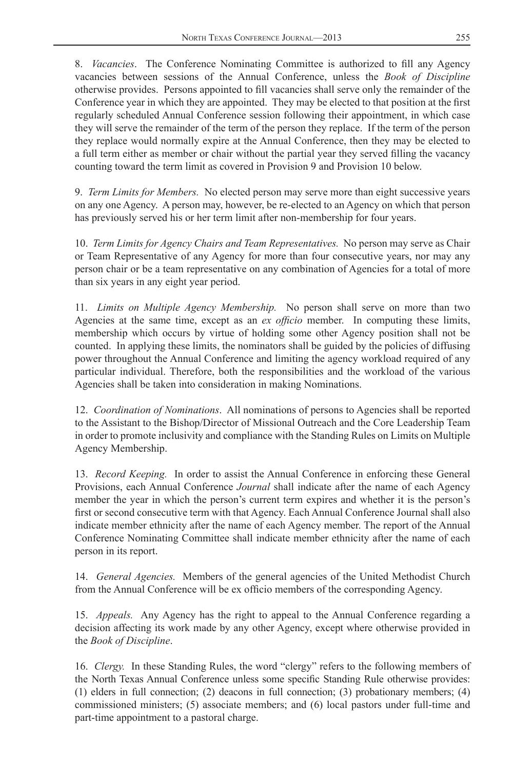8. *Vacancies*. The Conference Nominating Committee is authorized to fill any Agency vacancies between sessions of the Annual Conference, unless the *Book of Discipline* otherwise provides. Persons appointed to fill vacancies shall serve only the remainder of the Conference year in which they are appointed. They may be elected to that position at the first regularly scheduled Annual Conference session following their appointment, in which case they will serve the remainder of the term of the person they replace. If the term of the person they replace would normally expire at the Annual Conference, then they may be elected to a full term either as member or chair without the partial year they served filling the vacancy counting toward the term limit as covered in Provision 9 and Provision 10 below.

9. *Term Limits for Members.* No elected person may serve more than eight successive years on any one Agency. A person may, however, be re-elected to an Agency on which that person has previously served his or her term limit after non-membership for four years.

10. *Term Limits for Agency Chairs and Team Representatives.* No person may serve as Chair or Team Representative of any Agency for more than four consecutive years, nor may any person chair or be a team representative on any combination of Agencies for a total of more than six years in any eight year period.

11. *Limits on Multiple Agency Membership.* No person shall serve on more than two Agencies at the same time, except as an *ex officio* member. In computing these limits, membership which occurs by virtue of holding some other Agency position shall not be counted. In applying these limits, the nominators shall be guided by the policies of diffusing power throughout the Annual Conference and limiting the agency workload required of any particular individual. Therefore, both the responsibilities and the workload of the various Agencies shall be taken into consideration in making Nominations.

12. *Coordination of Nominations*. All nominations of persons to Agencies shall be reported to the Assistant to the Bishop/Director of Missional Outreach and the Core Leadership Team in order to promote inclusivity and compliance with the Standing Rules on Limits on Multiple Agency Membership.

13. *Record Keeping.* In order to assist the Annual Conference in enforcing these General Provisions, each Annual Conference *Journal* shall indicate after the name of each Agency member the year in which the person's current term expires and whether it is the person's first or second consecutive term with that Agency. Each Annual Conference Journal shall also indicate member ethnicity after the name of each Agency member. The report of the Annual Conference Nominating Committee shall indicate member ethnicity after the name of each person in its report.

14. *General Agencies.* Members of the general agencies of the United Methodist Church from the Annual Conference will be ex officio members of the corresponding Agency.

15. *Appeals.* Any Agency has the right to appeal to the Annual Conference regarding a decision affecting its work made by any other Agency, except where otherwise provided in the *Book of Discipline*.

16. *Clergy.* In these Standing Rules, the word "clergy" refers to the following members of the North Texas Annual Conference unless some specific Standing Rule otherwise provides: (1) elders in full connection; (2) deacons in full connection; (3) probationary members; (4) commissioned ministers; (5) associate members; and (6) local pastors under full-time and part-time appointment to a pastoral charge.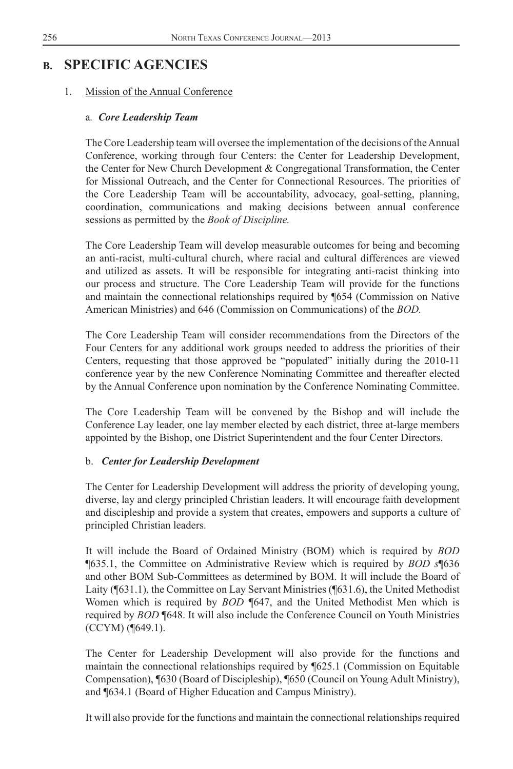# <span id="page-5-0"></span>**B. SPECIFIC AGENCIES**

### 1. Mission of the Annual Conference

### a*. Core Leadership Team*

The Core Leadership team will oversee the implementation of the decisions of the Annual Conference, working through four Centers: the Center for Leadership Development, the Center for New Church Development & Congregational Transformation, the Center for Missional Outreach, and the Center for Connectional Resources. The priorities of the Core Leadership Team will be accountability, advocacy, goal-setting, planning, coordination, communications and making decisions between annual conference sessions as permitted by the *Book of Discipline.*

The Core Leadership Team will develop measurable outcomes for being and becoming an anti-racist, multi-cultural church, where racial and cultural differences are viewed and utilized as assets. It will be responsible for integrating anti-racist thinking into our process and structure. The Core Leadership Team will provide for the functions and maintain the connectional relationships required by ¶654 (Commission on Native American Ministries) and 646 (Commission on Communications) of the *BOD.*

The Core Leadership Team will consider recommendations from the Directors of the Four Centers for any additional work groups needed to address the priorities of their Centers, requesting that those approved be "populated" initially during the 2010-11 conference year by the new Conference Nominating Committee and thereafter elected by the Annual Conference upon nomination by the Conference Nominating Committee.

The Core Leadership Team will be convened by the Bishop and will include the Conference Lay leader, one lay member elected by each district, three at-large members appointed by the Bishop, one District Superintendent and the four Center Directors.

### b. *Center for Leadership Development*

The Center for Leadership Development will address the priority of developing young, diverse, lay and clergy principled Christian leaders. It will encourage faith development and discipleship and provide a system that creates, empowers and supports a culture of principled Christian leaders.

It will include the Board of Ordained Ministry (BOM) which is required by *BOD*  ¶635.1, the Committee on Administrative Review which is required by *BOD s*¶636 and other BOM Sub-Committees as determined by BOM. It will include the Board of Laity (¶631.1), the Committee on Lay Servant Ministries (¶631.6), the United Methodist Women which is required by *BOD* ¶647, and the United Methodist Men which is required by *BOD* ¶648. It will also include the Conference Council on Youth Ministries (CCYM) (¶649.1).

The Center for Leadership Development will also provide for the functions and maintain the connectional relationships required by ¶625.1 (Commission on Equitable Compensation), ¶630 (Board of Discipleship), ¶650 (Council on Young Adult Ministry), and ¶634.1 (Board of Higher Education and Campus Ministry).

It will also provide for the functions and maintain the connectional relationships required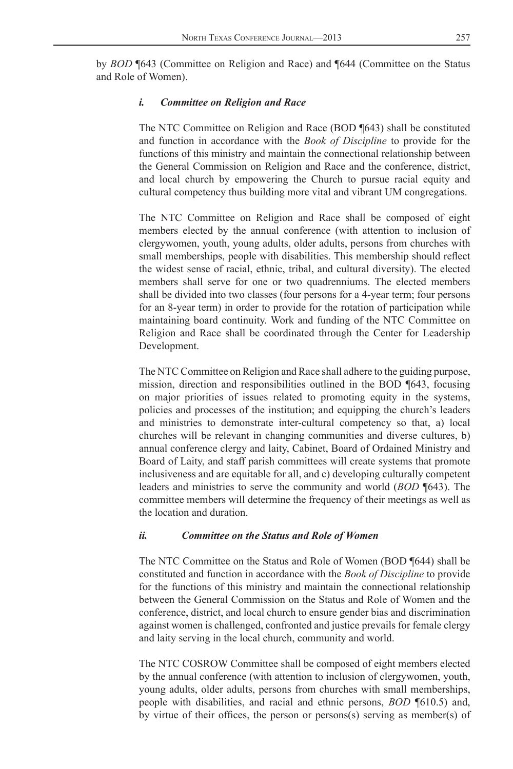by *BOD* ¶643 (Committee on Religion and Race) and ¶644 (Committee on the Status and Role of Women).

### *i. Committee on Religion and Race*

The NTC Committee on Religion and Race (BOD ¶643) shall be constituted and function in accordance with the *Book of Discipline* to provide for the functions of this ministry and maintain the connectional relationship between the General Commission on Religion and Race and the conference, district, and local church by empowering the Church to pursue racial equity and cultural competency thus building more vital and vibrant UM congregations.

The NTC Committee on Religion and Race shall be composed of eight members elected by the annual conference (with attention to inclusion of clergywomen, youth, young adults, older adults, persons from churches with small memberships, people with disabilities. This membership should reflect the widest sense of racial, ethnic, tribal, and cultural diversity). The elected members shall serve for one or two quadrenniums. The elected members shall be divided into two classes (four persons for a 4-year term; four persons for an 8-year term) in order to provide for the rotation of participation while maintaining board continuity. Work and funding of the NTC Committee on Religion and Race shall be coordinated through the Center for Leadership Development.

The NTC Committee on Religion and Race shall adhere to the guiding purpose, mission, direction and responsibilities outlined in the BOD ¶643, focusing on major priorities of issues related to promoting equity in the systems, policies and processes of the institution; and equipping the church's leaders and ministries to demonstrate inter-cultural competency so that, a) local churches will be relevant in changing communities and diverse cultures, b) annual conference clergy and laity, Cabinet, Board of Ordained Ministry and Board of Laity, and staff parish committees will create systems that promote inclusiveness and are equitable for all, and c) developing culturally competent leaders and ministries to serve the community and world (*BOD* ¶643). The committee members will determine the frequency of their meetings as well as the location and duration.

### *ii. Committee on the Status and Role of Women*

The NTC Committee on the Status and Role of Women (BOD ¶644) shall be constituted and function in accordance with the *Book of Discipline* to provide for the functions of this ministry and maintain the connectional relationship between the General Commission on the Status and Role of Women and the conference, district, and local church to ensure gender bias and discrimination against women is challenged, confronted and justice prevails for female clergy and laity serving in the local church, community and world.

The NTC COSROW Committee shall be composed of eight members elected by the annual conference (with attention to inclusion of clergywomen, youth, young adults, older adults, persons from churches with small memberships, people with disabilities, and racial and ethnic persons, *BOD* ¶610.5) and, by virtue of their offices, the person or persons(s) serving as member(s) of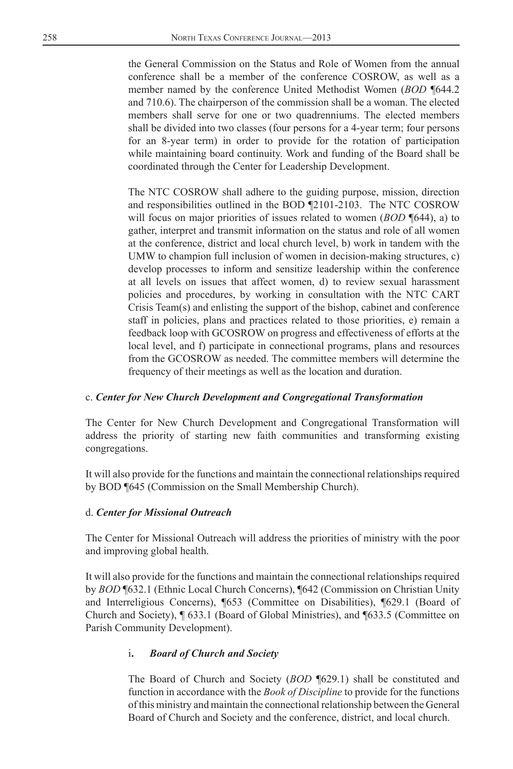the General Commission on the Status and Role of Women from the annual conference shall be a member of the conference COSROW, as well as a member named by the conference United Methodist Women (*BOD* ¶644.2 and 710.6). The chairperson of the commission shall be a woman. The elected members shall serve for one or two quadrenniums. The elected members shall be divided into two classes (four persons for a 4-year term; four persons for an 8-year term) in order to provide for the rotation of participation while maintaining board continuity. Work and funding of the Board shall be coordinated through the Center for Leadership Development.

The NTC COSROW shall adhere to the guiding purpose, mission, direction and responsibilities outlined in the BOD ¶2101-2103. The NTC COSROW will focus on major priorities of issues related to women (*BOD* ¶644), a) to gather, interpret and transmit information on the status and role of all women at the conference, district and local church level, b) work in tandem with the UMW to champion full inclusion of women in decision-making structures, c) develop processes to inform and sensitize leadership within the conference at all levels on issues that affect women, d) to review sexual harassment policies and procedures, by working in consultation with the NTC CART Crisis Team(s) and enlisting the support of the bishop, cabinet and conference staff in policies, plans and practices related to those priorities, e) remain a feedback loop with GCOSROW on progress and effectiveness of efforts at the local level, and f) participate in connectional programs, plans and resources from the GCOSROW as needed. The committee members will determine the frequency of their meetings as well as the location and duration.

### c. *Center for New Church Development and Congregational Transformation*

The Center for New Church Development and Congregational Transformation will address the priority of starting new faith communities and transforming existing congregations.

It will also provide for the functions and maintain the connectional relationships required by BOD ¶645 (Commission on the Small Membership Church).

### d. *Center for Missional Outreach*

The Center for Missional Outreach will address the priorities of ministry with the poor and improving global health.

It will also provide for the functions and maintain the connectional relationships required by *BOD* ¶632.1 (Ethnic Local Church Concerns), ¶642 (Commission on Christian Unity and Interreligious Concerns), ¶653 (Committee on Disabilities), ¶629.1 (Board of Church and Society), ¶ 633.1 (Board of Global Ministries), and ¶633.5 (Committee on Parish Community Development).

### i**.** *Board of Church and Society*

The Board of Church and Society (*BOD* ¶629.1) shall be constituted and function in accordance with the *Book of Discipline* to provide for the functions of this ministry and maintain the connectional relationship between the General Board of Church and Society and the conference, district, and local church.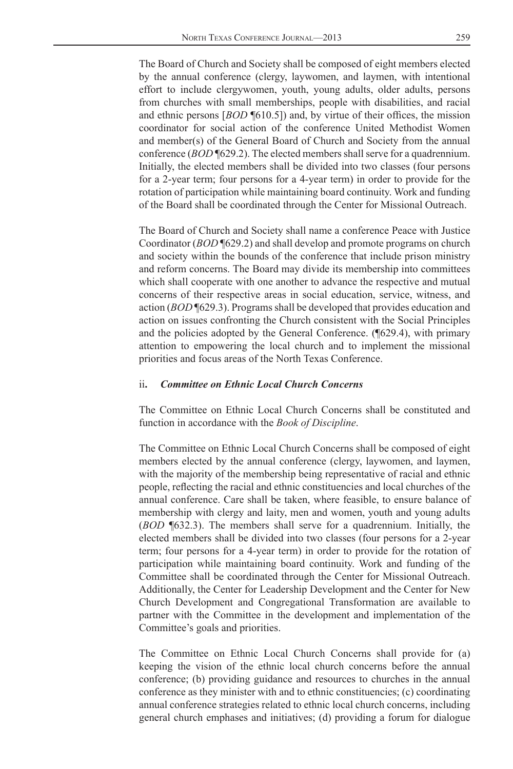The Board of Church and Society shall be composed of eight members elected by the annual conference (clergy, laywomen, and laymen, with intentional effort to include clergywomen, youth, young adults, older adults, persons from churches with small memberships, people with disabilities, and racial and ethnic persons [*BOD* **[610.5]**) and, by virtue of their offices, the mission coordinator for social action of the conference United Methodist Women and member(s) of the General Board of Church and Society from the annual conference (*BOD* ¶629.2). The elected members shall serve for a quadrennium. Initially, the elected members shall be divided into two classes (four persons for a 2-year term; four persons for a 4-year term) in order to provide for the rotation of participation while maintaining board continuity. Work and funding of the Board shall be coordinated through the Center for Missional Outreach.

The Board of Church and Society shall name a conference Peace with Justice Coordinator (*BOD* ¶629.2) and shall develop and promote programs on church and society within the bounds of the conference that include prison ministry and reform concerns. The Board may divide its membership into committees which shall cooperate with one another to advance the respective and mutual concerns of their respective areas in social education, service, witness, and action (*BOD* ¶629.3). Programs shall be developed that provides education and action on issues confronting the Church consistent with the Social Principles and the policies adopted by the General Conference. (¶629.4), with primary attention to empowering the local church and to implement the missional priorities and focus areas of the North Texas Conference.

#### ii**.** *Committee on Ethnic Local Church Concerns*

The Committee on Ethnic Local Church Concerns shall be constituted and function in accordance with the *Book of Discipline*.

The Committee on Ethnic Local Church Concerns shall be composed of eight members elected by the annual conference (clergy, laywomen, and laymen, with the majority of the membership being representative of racial and ethnic people, reflecting the racial and ethnic constituencies and local churches of the annual conference. Care shall be taken, where feasible, to ensure balance of membership with clergy and laity, men and women, youth and young adults (*BOD* ¶632.3). The members shall serve for a quadrennium. Initially, the elected members shall be divided into two classes (four persons for a 2-year term; four persons for a 4-year term) in order to provide for the rotation of participation while maintaining board continuity. Work and funding of the Committee shall be coordinated through the Center for Missional Outreach. Additionally, the Center for Leadership Development and the Center for New Church Development and Congregational Transformation are available to partner with the Committee in the development and implementation of the Committee's goals and priorities.

The Committee on Ethnic Local Church Concerns shall provide for (a) keeping the vision of the ethnic local church concerns before the annual conference; (b) providing guidance and resources to churches in the annual conference as they minister with and to ethnic constituencies; (c) coordinating annual conference strategies related to ethnic local church concerns, including general church emphases and initiatives; (d) providing a forum for dialogue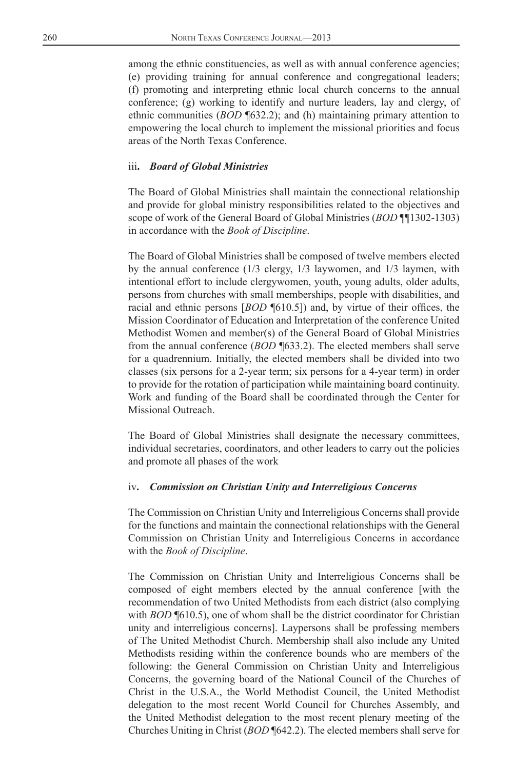among the ethnic constituencies, as well as with annual conference agencies; (e) providing training for annual conference and congregational leaders; (f) promoting and interpreting ethnic local church concerns to the annual conference; (g) working to identify and nurture leaders, lay and clergy, of ethnic communities (*BOD* ¶632.2); and (h) maintaining primary attention to empowering the local church to implement the missional priorities and focus areas of the North Texas Conference.

#### iii**.** *Board of Global Ministries*

The Board of Global Ministries shall maintain the connectional relationship and provide for global ministry responsibilities related to the objectives and scope of work of the General Board of Global Ministries (*BOD* ¶¶1302-1303) in accordance with the *Book of Discipline*.

The Board of Global Ministries shall be composed of twelve members elected by the annual conference (1/3 clergy, 1/3 laywomen, and 1/3 laymen, with intentional effort to include clergywomen, youth, young adults, older adults, persons from churches with small memberships, people with disabilities, and racial and ethnic persons [*BOD* **[**610.5]) and, by virtue of their offices, the Mission Coordinator of Education and Interpretation of the conference United Methodist Women and member(s) of the General Board of Global Ministries from the annual conference (*BOD* ¶633.2). The elected members shall serve for a quadrennium. Initially, the elected members shall be divided into two classes (six persons for a 2-year term; six persons for a 4-year term) in order to provide for the rotation of participation while maintaining board continuity. Work and funding of the Board shall be coordinated through the Center for Missional Outreach.

The Board of Global Ministries shall designate the necessary committees, individual secretaries, coordinators, and other leaders to carry out the policies and promote all phases of the work

#### iv**.** *Commission on Christian Unity and Interreligious Concerns*

The Commission on Christian Unity and Interreligious Concerns shall provide for the functions and maintain the connectional relationships with the General Commission on Christian Unity and Interreligious Concerns in accordance with the *Book of Discipline*.

The Commission on Christian Unity and Interreligious Concerns shall be composed of eight members elected by the annual conference [with the recommendation of two United Methodists from each district (also complying with *BOD* [610.5), one of whom shall be the district coordinator for Christian unity and interreligious concerns]. Laypersons shall be professing members of The United Methodist Church. Membership shall also include any United Methodists residing within the conference bounds who are members of the following: the General Commission on Christian Unity and Interreligious Concerns, the governing board of the National Council of the Churches of Christ in the U.S.A., the World Methodist Council, the United Methodist delegation to the most recent World Council for Churches Assembly, and the United Methodist delegation to the most recent plenary meeting of the Churches Uniting in Christ (*BOD* ¶642.2). The elected members shall serve for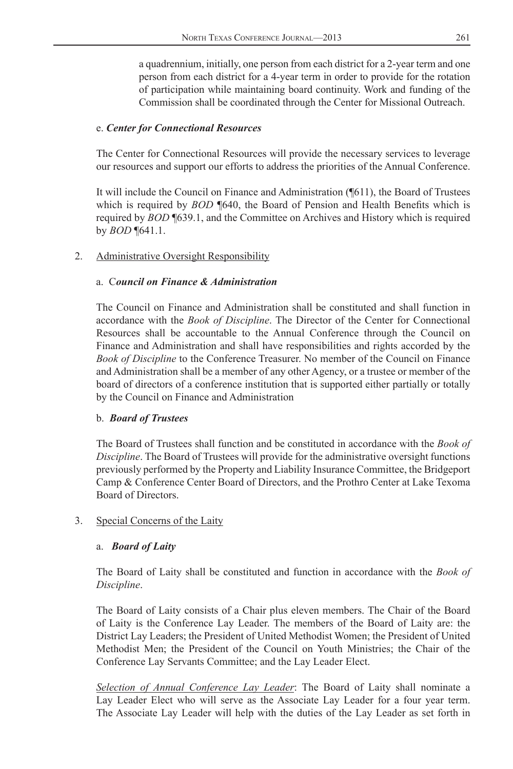<span id="page-10-0"></span>a quadrennium, initially, one person from each district for a 2-year term and one person from each district for a 4-year term in order to provide for the rotation of participation while maintaining board continuity. Work and funding of the Commission shall be coordinated through the Center for Missional Outreach.

### e. *Center for Connectional Resources*

The Center for Connectional Resources will provide the necessary services to leverage our resources and support our efforts to address the priorities of the Annual Conference.

It will include the Council on Finance and Administration (¶611), the Board of Trustees which is required by *BOD* ¶640, the Board of Pension and Health Benefits which is required by *BOD* ¶639.1, and the Committee on Archives and History which is required by *BOD* ¶641.1.

### 2. Administrative Oversight Responsibility

### a. C*ouncil on Finance & Administration*

The Council on Finance and Administration shall be constituted and shall function in accordance with the *Book of Discipline*. The Director of the Center for Connectional Resources shall be accountable to the Annual Conference through the Council on Finance and Administration and shall have responsibilities and rights accorded by the *Book of Discipline* to the Conference Treasurer. No member of the Council on Finance and Administration shall be a member of any other Agency, or a trustee or member of the board of directors of a conference institution that is supported either partially or totally by the Council on Finance and Administration

### b. *Board of Trustees*

The Board of Trustees shall function and be constituted in accordance with the *Book of Discipline*. The Board of Trustees will provide for the administrative oversight functions previously performed by the Property and Liability Insurance Committee, the Bridgeport Camp & Conference Center Board of Directors, and the Prothro Center at Lake Texoma Board of Directors.

### 3. Special Concerns of the Laity

### a. *Board of Laity*

The Board of Laity shall be constituted and function in accordance with the *Book of Discipline*.

The Board of Laity consists of a Chair plus eleven members. The Chair of the Board of Laity is the Conference Lay Leader. The members of the Board of Laity are: the District Lay Leaders; the President of United Methodist Women; the President of United Methodist Men; the President of the Council on Youth Ministries; the Chair of the Conference Lay Servants Committee; and the Lay Leader Elect.

*Selection of Annual Conference Lay Leader*: The Board of Laity shall nominate a Lay Leader Elect who will serve as the Associate Lay Leader for a four year term. The Associate Lay Leader will help with the duties of the Lay Leader as set forth in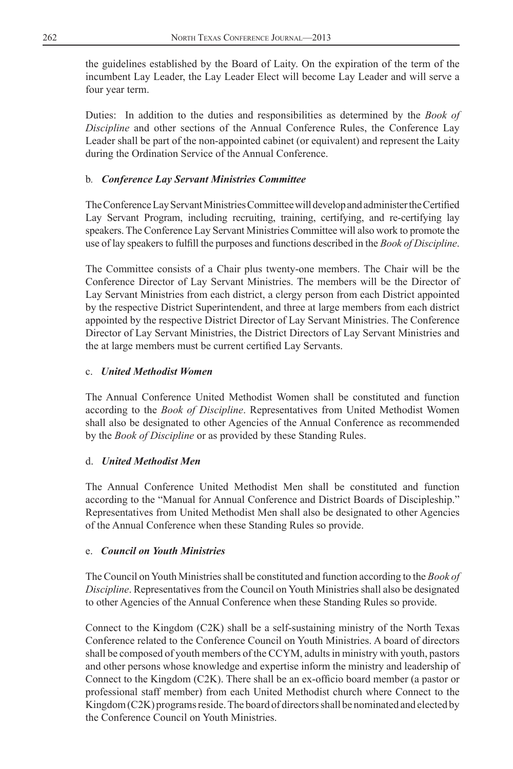the guidelines established by the Board of Laity. On the expiration of the term of the incumbent Lay Leader, the Lay Leader Elect will become Lay Leader and will serve a four year term.

Duties: In addition to the duties and responsibilities as determined by the *Book of Discipline* and other sections of the Annual Conference Rules, the Conference Lay Leader shall be part of the non-appointed cabinet (or equivalent) and represent the Laity during the Ordination Service of the Annual Conference.

### b*. Conference Lay Servant Ministries Committee*

The Conference Lay Servant Ministries Committee will develop and administer the Certified Lay Servant Program, including recruiting, training, certifying, and re-certifying lay speakers. The Conference Lay Servant Ministries Committee will also work to promote the use of lay speakers to fulfill the purposes and functions described in the *Book of Discipline*.

The Committee consists of a Chair plus twenty-one members. The Chair will be the Conference Director of Lay Servant Ministries. The members will be the Director of Lay Servant Ministries from each district, a clergy person from each District appointed by the respective District Superintendent, and three at large members from each district appointed by the respective District Director of Lay Servant Ministries. The Conference Director of Lay Servant Ministries, the District Directors of Lay Servant Ministries and the at large members must be current certified Lay Servants.

### c. *United Methodist Women*

The Annual Conference United Methodist Women shall be constituted and function according to the *Book of Discipline*. Representatives from United Methodist Women shall also be designated to other Agencies of the Annual Conference as recommended by the *Book of Discipline* or as provided by these Standing Rules.

### d. *United Methodist Men*

The Annual Conference United Methodist Men shall be constituted and function according to the "Manual for Annual Conference and District Boards of Discipleship." Representatives from United Methodist Men shall also be designated to other Agencies of the Annual Conference when these Standing Rules so provide.

### e. *Council on Youth Ministries*

The Council on Youth Ministries shall be constituted and function according to the *Book of Discipline*. Representatives from the Council on Youth Ministries shall also be designated to other Agencies of the Annual Conference when these Standing Rules so provide.

Connect to the Kingdom (C2K) shall be a self-sustaining ministry of the North Texas Conference related to the Conference Council on Youth Ministries. A board of directors shall be composed of youth members of the CCYM, adults in ministry with youth, pastors and other persons whose knowledge and expertise inform the ministry and leadership of Connect to the Kingdom  $(C2K)$ . There shall be an ex-officio board member (a pastor or professional staff member) from each United Methodist church where Connect to the Kingdom (C2K) programs reside. The board of directors shall be nominated and elected by the Conference Council on Youth Ministries.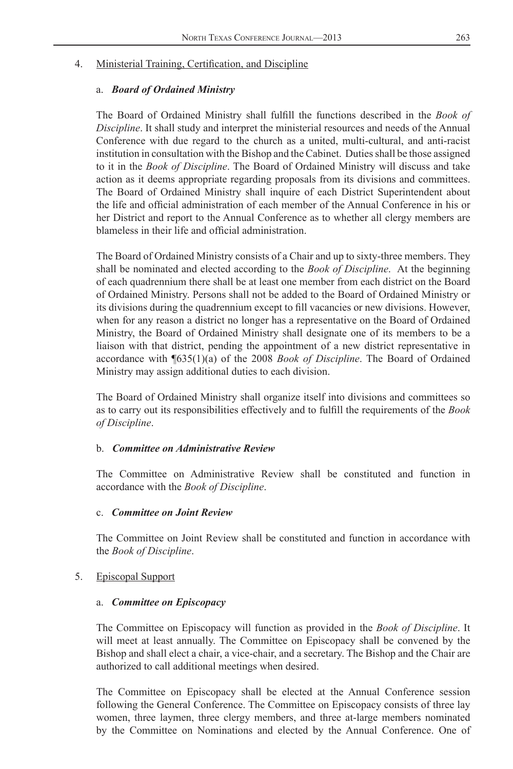#### <span id="page-12-0"></span>4. Ministerial Training, Certification, and Discipline

#### a. *Board of Ordained Ministry*

The Board of Ordained Ministry shall fulfill the functions described in the Book of *Discipline*. It shall study and interpret the ministerial resources and needs of the Annual Conference with due regard to the church as a united, multi-cultural, and anti-racist institution in consultation with the Bishop and the Cabinet. Duties shall be those assigned to it in the *Book of Discipline*. The Board of Ordained Ministry will discuss and take action as it deems appropriate regarding proposals from its divisions and committees. The Board of Ordained Ministry shall inquire of each District Superintendent about the life and official administration of each member of the Annual Conference in his or her District and report to the Annual Conference as to whether all clergy members are blameless in their life and official administration.

The Board of Ordained Ministry consists of a Chair and up to sixty-three members. They shall be nominated and elected according to the *Book of Discipline*. At the beginning of each quadrennium there shall be at least one member from each district on the Board of Ordained Ministry. Persons shall not be added to the Board of Ordained Ministry or its divisions during the quadrennium except to fill vacancies or new divisions. However, when for any reason a district no longer has a representative on the Board of Ordained Ministry, the Board of Ordained Ministry shall designate one of its members to be a liaison with that district, pending the appointment of a new district representative in accordance with ¶635(1)(a) of the 2008 *Book of Discipline*. The Board of Ordained Ministry may assign additional duties to each division.

The Board of Ordained Ministry shall organize itself into divisions and committees so as to carry out its responsibilities effectively and to fulfill the requirements of the *Book of Discipline*.

### b. *Committee on Administrative Review*

The Committee on Administrative Review shall be constituted and function in accordance with the *Book of Discipline*.

### c. *Committee on Joint Review*

The Committee on Joint Review shall be constituted and function in accordance with the *Book of Discipline*.

### 5. Episcopal Support

#### a. *Committee on Episcopacy*

The Committee on Episcopacy will function as provided in the *Book of Discipline*. It will meet at least annually. The Committee on Episcopacy shall be convened by the Bishop and shall elect a chair, a vice-chair, and a secretary. The Bishop and the Chair are authorized to call additional meetings when desired.

The Committee on Episcopacy shall be elected at the Annual Conference session following the General Conference. The Committee on Episcopacy consists of three lay women, three laymen, three clergy members, and three at-large members nominated by the Committee on Nominations and elected by the Annual Conference. One of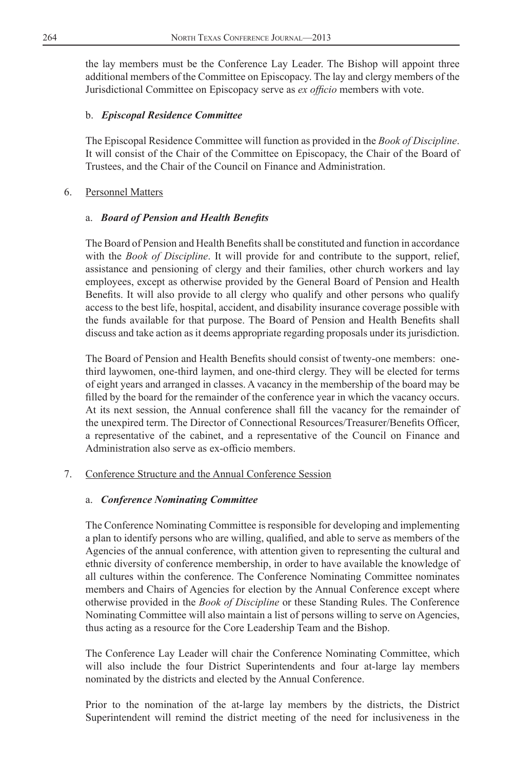<span id="page-13-0"></span>the lay members must be the Conference Lay Leader. The Bishop will appoint three additional members of the Committee on Episcopacy. The lay and clergy members of the Jurisdictional Committee on Episcopacy serve as *ex officio* members with vote.

### b. *Episcopal Residence Committee*

The Episcopal Residence Committee will function as provided in the *Book of Discipline*. It will consist of the Chair of the Committee on Episcopacy, the Chair of the Board of Trustees, and the Chair of the Council on Finance and Administration.

### 6. Personnel Matters

### a. *Board of Pension and Health Benefits*

The Board of Pension and Health Benefits shall be constituted and function in accordance with the *Book of Discipline*. It will provide for and contribute to the support, relief, assistance and pensioning of clergy and their families, other church workers and lay employees, except as otherwise provided by the General Board of Pension and Health Benefits. It will also provide to all clergy who qualify and other persons who qualify access to the best life, hospital, accident, and disability insurance coverage possible with the funds available for that purpose. The Board of Pension and Health Benefits shall discuss and take action as it deems appropriate regarding proposals under its jurisdiction.

The Board of Pension and Health Benefits should consist of twenty-one members: onethird laywomen, one-third laymen, and one-third clergy. They will be elected for terms of eight years and arranged in classes. A vacancy in the membership of the board may be filled by the board for the remainder of the conference year in which the vacancy occurs. At its next session, the Annual conference shall fill the vacancy for the remainder of the unexpired term. The Director of Connectional Resources/Treasurer/Benefits Officer, a representative of the cabinet, and a representative of the Council on Finance and Administration also serve as ex-officio members.

### 7. Conference Structure and the Annual Conference Session

### a. *Conference Nominating Committee*

The Conference Nominating Committee is responsible for developing and implementing a plan to identify persons who are willing, qualified, and able to serve as members of the Agencies of the annual conference, with attention given to representing the cultural and ethnic diversity of conference membership, in order to have available the knowledge of all cultures within the conference. The Conference Nominating Committee nominates members and Chairs of Agencies for election by the Annual Conference except where otherwise provided in the *Book of Discipline* or these Standing Rules. The Conference Nominating Committee will also maintain a list of persons willing to serve on Agencies, thus acting as a resource for the Core Leadership Team and the Bishop.

The Conference Lay Leader will chair the Conference Nominating Committee, which will also include the four District Superintendents and four at-large lay members nominated by the districts and elected by the Annual Conference.

Prior to the nomination of the at-large lay members by the districts, the District Superintendent will remind the district meeting of the need for inclusiveness in the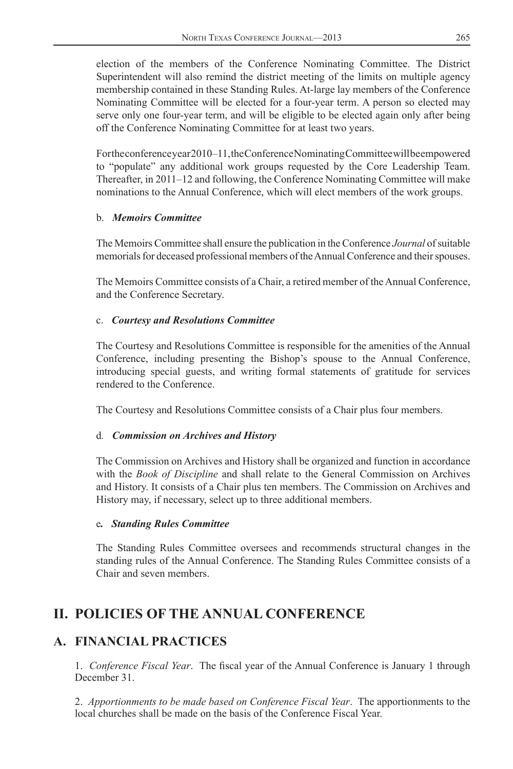<span id="page-14-0"></span>election of the members of the Conference Nominating Committee. The District Superintendent will also remind the district meeting of the limits on multiple agency membership contained in these Standing Rules. At-large lay members of the Conference Nominating Committee will be elected for a four-year term. A person so elected may serve only one four-year term, and will be eligible to be elected again only after being off the Conference Nominating Committee for at least two years.

For the conference year 2010–11, the Conference Nominating Committee will be empowered to "populate" any additional work groups requested by the Core Leadership Team. Thereafter, in 2011–12 and following, the Conference Nominating Committee will make nominations to the Annual Conference, which will elect members of the work groups.

### b. *Memoirs Committee*

The Memoirs Committee shall ensure the publication in the Conference *Journal* of suitable memorials for deceased professional members of the Annual Conference and their spouses.

The Memoirs Committee consists of a Chair, a retired member of the Annual Conference, and the Conference Secretary.

### c. *Courtesy and Resolutions Committee*

The Courtesy and Resolutions Committee is responsible for the amenities of the Annual Conference, including presenting the Bishop's spouse to the Annual Conference, introducing special guests, and writing formal statements of gratitude for services rendered to the Conference.

The Courtesy and Resolutions Committee consists of a Chair plus four members.

### d*. Commission on Archives and History*

The Commission on Archives and History shall be organized and function in accordance with the *Book of Discipline* and shall relate to the General Commission on Archives and History. It consists of a Chair plus ten members. The Commission on Archives and History may, if necessary, select up to three additional members.

### e*. Standing Rules Committee*

The Standing Rules Committee oversees and recommends structural changes in the standing rules of the Annual Conference. The Standing Rules Committee consists of a Chair and seven members.

# **II. POLICIES OF THE ANNUAL CONFERENCE**

### **A. FINANCIAL PRACTICES**

1. *Conference Fiscal Year.* The fiscal year of the Annual Conference is January 1 through December 31.

2. *Apportionments to be made based on Conference Fiscal Year*. The apportionments to the local churches shall be made on the basis of the Conference Fiscal Year.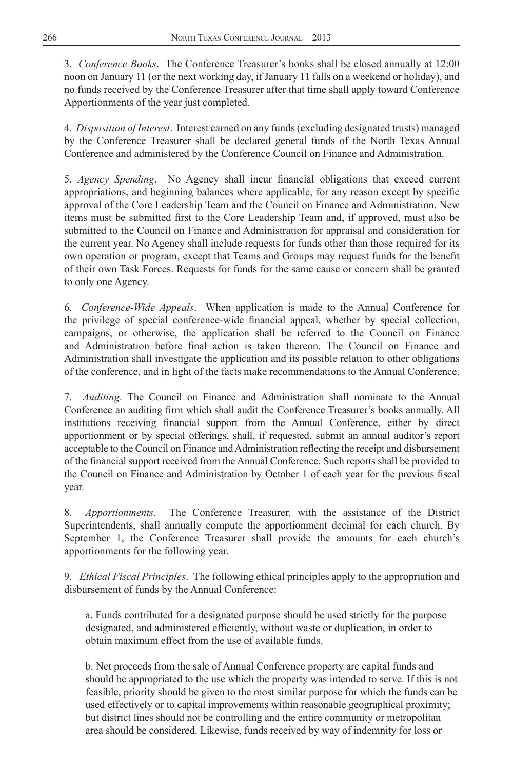3. *Conference Books*. The Conference Treasurer's books shall be closed annually at 12:00 noon on January 11 (or the next working day, if January 11 falls on a weekend or holiday), and no funds received by the Conference Treasurer after that time shall apply toward Conference Apportionments of the year just completed.

4. *Disposition of Interest*. Interest earned on any funds (excluding designated trusts) managed by the Conference Treasurer shall be declared general funds of the North Texas Annual Conference and administered by the Conference Council on Finance and Administration.

5. Agency Spending. No Agency shall incur financial obligations that exceed current appropriations, and beginning balances where applicable, for any reason except by specific approval of the Core Leadership Team and the Council on Finance and Administration. New items must be submitted first to the Core Leadership Team and, if approved, must also be submitted to the Council on Finance and Administration for appraisal and consideration for the current year. No Agency shall include requests for funds other than those required for its own operation or program, except that Teams and Groups may request funds for the benefit of their own Task Forces. Requests for funds for the same cause or concern shall be granted to only one Agency.

6. *Conference-Wide Appeals*. When application is made to the Annual Conference for the privilege of special conference-wide financial appeal, whether by special collection, campaigns, or otherwise, the application shall be referred to the Council on Finance and Administration before final action is taken thereon. The Council on Finance and Administration shall investigate the application and its possible relation to other obligations of the conference, and in light of the facts make recommendations to the Annual Conference.

7. *Auditing*. The Council on Finance and Administration shall nominate to the Annual Conference an auditing firm which shall audit the Conference Treasurer's books annually. All institutions receiving financial support from the Annual Conference, either by direct apportionment or by special offerings, shall, if requested, submit an annual auditor's report acceptable to the Council on Finance and Administration reflecting the receipt and disbursement of the financial support received from the Annual Conference. Such reports shall be provided to the Council on Finance and Administration by October 1 of each year for the previous fiscal year.

8. *Apportionments*. The Conference Treasurer, with the assistance of the District Superintendents, shall annually compute the apportionment decimal for each church. By September 1, the Conference Treasurer shall provide the amounts for each church's apportionments for the following year.

9. *Ethical Fiscal Principles*. The following ethical principles apply to the appropriation and disbursement of funds by the Annual Conference:

a. Funds contributed for a designated purpose should be used strictly for the purpose designated, and administered efficiently, without waste or duplication, in order to obtain maximum effect from the use of available funds.

b. Net proceeds from the sale of Annual Conference property are capital funds and should be appropriated to the use which the property was intended to serve. If this is not feasible, priority should be given to the most similar purpose for which the funds can be used effectively or to capital improvements within reasonable geographical proximity; but district lines should not be controlling and the entire community or metropolitan area should be considered. Likewise, funds received by way of indemnity for loss or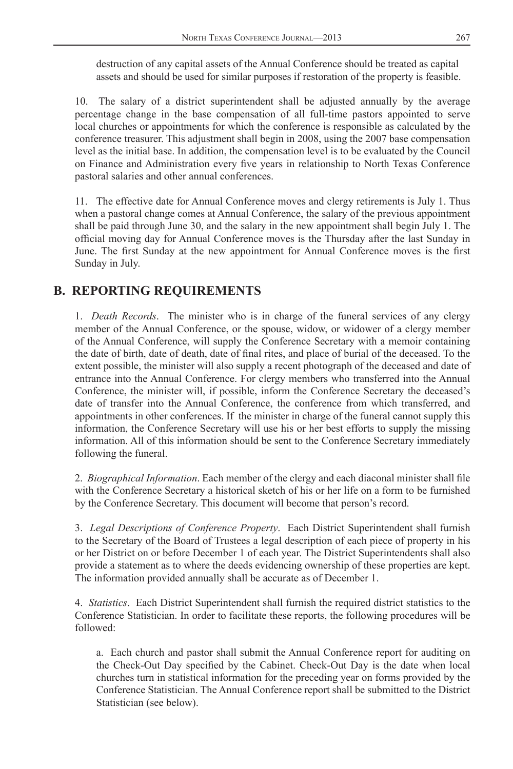<span id="page-16-0"></span>destruction of any capital assets of the Annual Conference should be treated as capital assets and should be used for similar purposes if restoration of the property is feasible.

 10. The salary of a district superintendent shall be adjusted annually by the average percentage change in the base compensation of all full-time pastors appointed to serve local churches or appointments for which the conference is responsible as calculated by the conference treasurer. This adjustment shall begin in 2008, using the 2007 base compensation level as the initial base. In addition, the compensation level is to be evaluated by the Council on Finance and Administration every five years in relationship to North Texas Conference pastoral salaries and other annual conferences.

 11. The effective date for Annual Conference moves and clergy retirements is July 1. Thus when a pastoral change comes at Annual Conference, the salary of the previous appointment shall be paid through June 30, and the salary in the new appointment shall begin July 1. The official moving day for Annual Conference moves is the Thursday after the last Sunday in June. The first Sunday at the new appointment for Annual Conference moves is the first Sunday in July.

## **B. REPORTING REQUIREMENTS**

1. *Death Records*. The minister who is in charge of the funeral services of any clergy member of the Annual Conference, or the spouse, widow, or widower of a clergy member of the Annual Conference, will supply the Conference Secretary with a memoir containing the date of birth, date of death, date of final rites, and place of burial of the deceased. To the extent possible, the minister will also supply a recent photograph of the deceased and date of entrance into the Annual Conference. For clergy members who transferred into the Annual Conference, the minister will, if possible, inform the Conference Secretary the deceased's date of transfer into the Annual Conference, the conference from which transferred, and appointments in other conferences. If the minister in charge of the funeral cannot supply this information, the Conference Secretary will use his or her best efforts to supply the missing information. All of this information should be sent to the Conference Secretary immediately following the funeral.

2. *Biographical Information*. Each member of the clergy and each diaconal minister shall file with the Conference Secretary a historical sketch of his or her life on a form to be furnished by the Conference Secretary. This document will become that person's record.

3. *Legal Descriptions of Conference Property*. Each District Superintendent shall furnish to the Secretary of the Board of Trustees a legal description of each piece of property in his or her District on or before December 1 of each year. The District Superintendents shall also provide a statement as to where the deeds evidencing ownership of these properties are kept. The information provided annually shall be accurate as of December 1.

4. *Statistics*. Each District Superintendent shall furnish the required district statistics to the Conference Statistician. In order to facilitate these reports, the following procedures will be followed:

a. Each church and pastor shall submit the Annual Conference report for auditing on the Check-Out Day specified by the Cabinet. Check-Out Day is the date when local churches turn in statistical information for the preceding year on forms provided by the Conference Statistician. The Annual Conference report shall be submitted to the District Statistician (see below).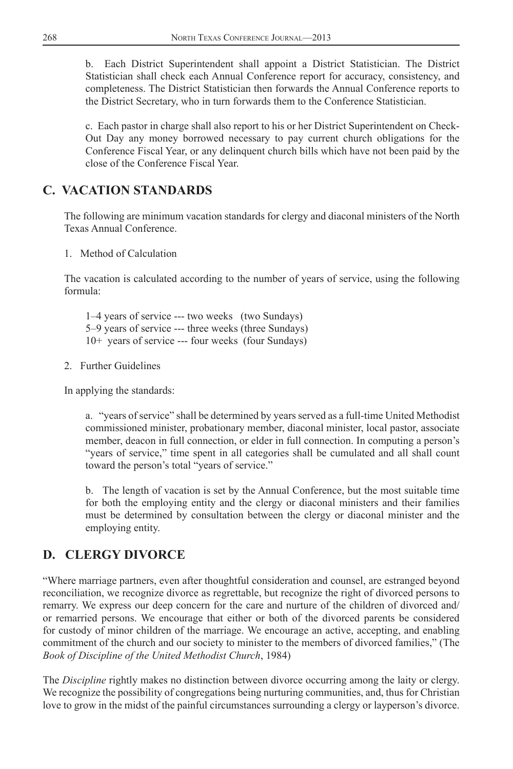<span id="page-17-0"></span>b. Each District Superintendent shall appoint a District Statistician. The District Statistician shall check each Annual Conference report for accuracy, consistency, and completeness. The District Statistician then forwards the Annual Conference reports to the District Secretary, who in turn forwards them to the Conference Statistician.

c. Each pastor in charge shall also report to his or her District Superintendent on Check-Out Day any money borrowed necessary to pay current church obligations for the Conference Fiscal Year, or any delinquent church bills which have not been paid by the close of the Conference Fiscal Year.

# **C. VACATION STANDARDS**

The following are minimum vacation standards for clergy and diaconal ministers of the North Texas Annual Conference.

1. Method of Calculation

The vacation is calculated according to the number of years of service, using the following formula:

1–4 years of service --- two weeks (two Sundays) 5–9 years of service --- three weeks (three Sundays) 10+ years of service --- four weeks (four Sundays)

2. Further Guidelines

In applying the standards:

a. "years of service" shall be determined by years served as a full-time United Methodist commissioned minister, probationary member, diaconal minister, local pastor, associate member, deacon in full connection, or elder in full connection. In computing a person's "years of service," time spent in all categories shall be cumulated and all shall count toward the person's total "years of service."

b. The length of vacation is set by the Annual Conference, but the most suitable time for both the employing entity and the clergy or diaconal ministers and their families must be determined by consultation between the clergy or diaconal minister and the employing entity.

# **D. CLERGY DIVORCE**

"Where marriage partners, even after thoughtful consideration and counsel, are estranged beyond reconciliation, we recognize divorce as regrettable, but recognize the right of divorced persons to remarry. We express our deep concern for the care and nurture of the children of divorced and/ or remarried persons. We encourage that either or both of the divorced parents be considered for custody of minor children of the marriage. We encourage an active, accepting, and enabling commitment of the church and our society to minister to the members of divorced families," (The *Book of Discipline of the United Methodist Church*, 1984)

The *Discipline* rightly makes no distinction between divorce occurring among the laity or clergy. We recognize the possibility of congregations being nurturing communities, and, thus for Christian love to grow in the midst of the painful circumstances surrounding a clergy or layperson's divorce.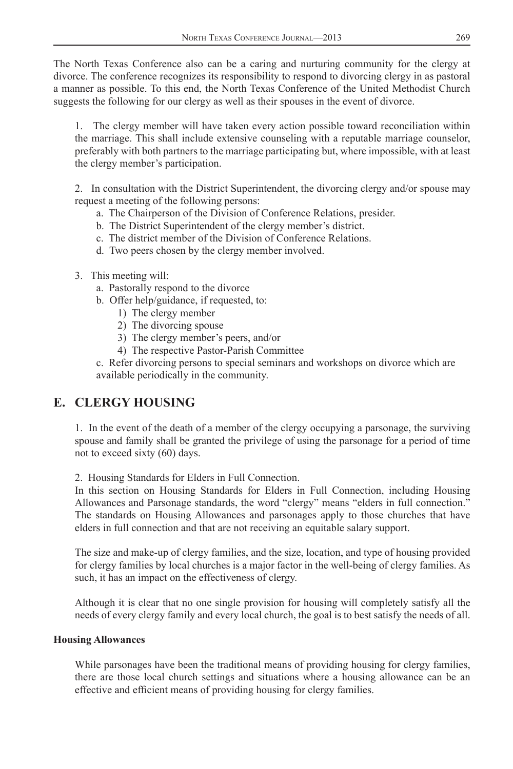<span id="page-18-0"></span>The North Texas Conference also can be a caring and nurturing community for the clergy at divorce. The conference recognizes its responsibility to respond to divorcing clergy in as pastoral a manner as possible. To this end, the North Texas Conference of the United Methodist Church suggests the following for our clergy as well as their spouses in the event of divorce.

1. The clergy member will have taken every action possible toward reconciliation within the marriage. This shall include extensive counseling with a reputable marriage counselor, preferably with both partners to the marriage participating but, where impossible, with at least the clergy member's participation.

2. In consultation with the District Superintendent, the divorcing clergy and/or spouse may request a meeting of the following persons:

- a. The Chairperson of the Division of Conference Relations, presider.
- b. The District Superintendent of the clergy member's district.
- c. The district member of the Division of Conference Relations.
- d. Two peers chosen by the clergy member involved.
- 3. This meeting will:
	- a. Pastorally respond to the divorce
	- b. Offer help/guidance, if requested, to:
		- 1) The clergy member
		- 2) The divorcing spouse
		- 3) The clergy member's peers, and/or
		- 4) The respective Pastor-Parish Committee

c. Refer divorcing persons to special seminars and workshops on divorce which are available periodically in the community.

## **E. CLERGY HOUSING**

1. In the event of the death of a member of the clergy occupying a parsonage, the surviving spouse and family shall be granted the privilege of using the parsonage for a period of time not to exceed sixty (60) days.

2. Housing Standards for Elders in Full Connection.

In this section on Housing Standards for Elders in Full Connection, including Housing Allowances and Parsonage standards, the word "clergy" means "elders in full connection." The standards on Housing Allowances and parsonages apply to those churches that have elders in full connection and that are not receiving an equitable salary support.

The size and make-up of clergy families, and the size, location, and type of housing provided for clergy families by local churches is a major factor in the well-being of clergy families. As such, it has an impact on the effectiveness of clergy.

Although it is clear that no one single provision for housing will completely satisfy all the needs of every clergy family and every local church, the goal is to best satisfy the needs of all.

### **Housing Allowances**

While parsonages have been the traditional means of providing housing for clergy families, there are those local church settings and situations where a housing allowance can be an effective and efficient means of providing housing for clergy families.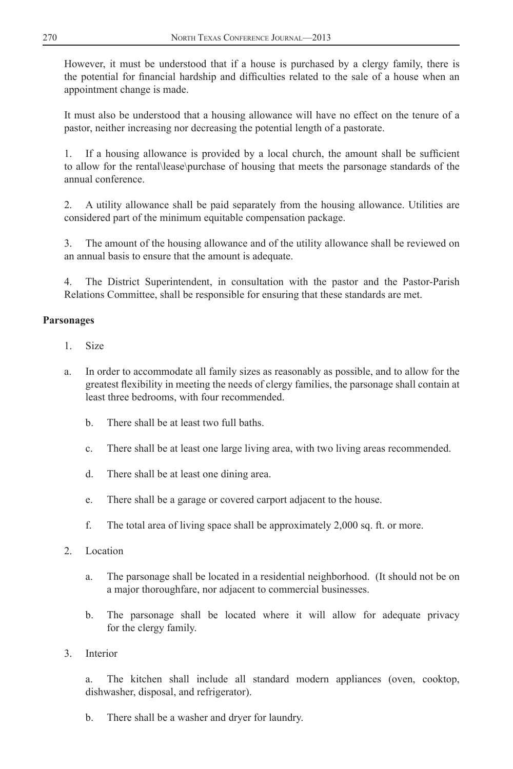However, it must be understood that if a house is purchased by a clergy family, there is the potential for financial hardship and difficulties related to the sale of a house when an appointment change is made.

It must also be understood that a housing allowance will have no effect on the tenure of a pastor, neither increasing nor decreasing the potential length of a pastorate.

1. If a housing allowance is provided by a local church, the amount shall be sufficient to allow for the rental\lease\purchase of housing that meets the parsonage standards of the annual conference.

2. A utility allowance shall be paid separately from the housing allowance. Utilities are considered part of the minimum equitable compensation package.

The amount of the housing allowance and of the utility allowance shall be reviewed on an annual basis to ensure that the amount is adequate.

The District Superintendent, in consultation with the pastor and the Pastor-Parish Relations Committee, shall be responsible for ensuring that these standards are met.

### **Parsonages**

- 1. Size
- a. In order to accommodate all family sizes as reasonably as possible, and to allow for the greatest flexibility in meeting the needs of clergy families, the parsonage shall contain at least three bedrooms, with four recommended.
	- b. There shall be at least two full baths.
	- c. There shall be at least one large living area, with two living areas recommended.
	- d. There shall be at least one dining area.
	- e. There shall be a garage or covered carport adjacent to the house.
	- f. The total area of living space shall be approximately 2,000 sq. ft. or more.
- 2. Location
	- a. The parsonage shall be located in a residential neighborhood. (It should not be on a major thoroughfare, nor adjacent to commercial businesses.
	- b. The parsonage shall be located where it will allow for adequate privacy for the clergy family.
- 3. Interior

a. The kitchen shall include all standard modern appliances (oven, cooktop, dishwasher, disposal, and refrigerator).

b. There shall be a washer and dryer for laundry.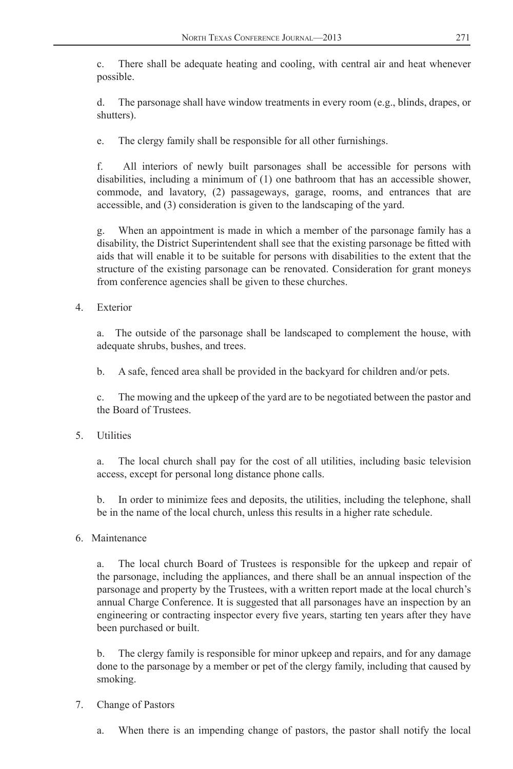c. There shall be adequate heating and cooling, with central air and heat whenever possible.

d. The parsonage shall have window treatments in every room (e.g., blinds, drapes, or shutters).

e. The clergy family shall be responsible for all other furnishings.

f. All interiors of newly built parsonages shall be accessible for persons with disabilities, including a minimum of (1) one bathroom that has an accessible shower, commode, and lavatory, (2) passageways, garage, rooms, and entrances that are accessible, and (3) consideration is given to the landscaping of the yard.

g. When an appointment is made in which a member of the parsonage family has a disability, the District Superintendent shall see that the existing parsonage be fitted with aids that will enable it to be suitable for persons with disabilities to the extent that the structure of the existing parsonage can be renovated. Consideration for grant moneys from conference agencies shall be given to these churches.

4. Exterior

a. The outside of the parsonage shall be landscaped to complement the house, with adequate shrubs, bushes, and trees.

b. A safe, fenced area shall be provided in the backyard for children and/or pets.

c. The mowing and the upkeep of the yard are to be negotiated between the pastor and the Board of Trustees.

5. Utilities

a. The local church shall pay for the cost of all utilities, including basic television access, except for personal long distance phone calls.

b. In order to minimize fees and deposits, the utilities, including the telephone, shall be in the name of the local church, unless this results in a higher rate schedule.

6. Maintenance

a. The local church Board of Trustees is responsible for the upkeep and repair of the parsonage, including the appliances, and there shall be an annual inspection of the parsonage and property by the Trustees, with a written report made at the local church's annual Charge Conference. It is suggested that all parsonages have an inspection by an engineering or contracting inspector every five years, starting ten years after they have been purchased or built.

b. The clergy family is responsible for minor upkeep and repairs, and for any damage done to the parsonage by a member or pet of the clergy family, including that caused by smoking.

- 7. Change of Pastors
	- a. When there is an impending change of pastors, the pastor shall notify the local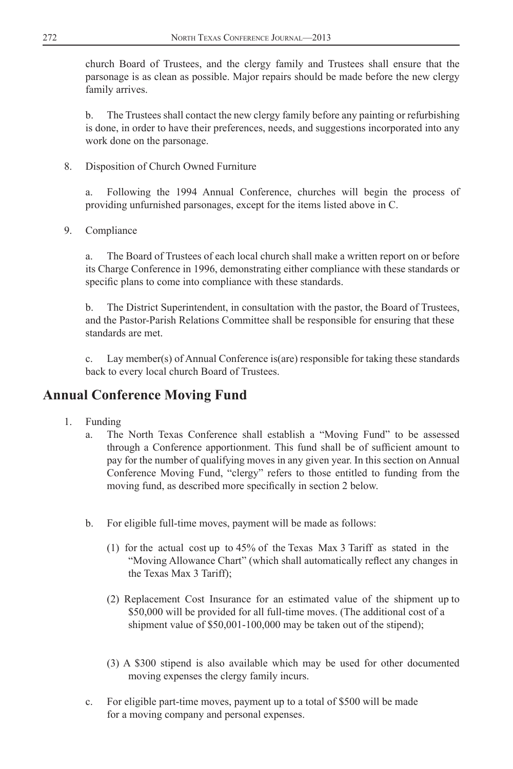church Board of Trustees, and the clergy family and Trustees shall ensure that the parsonage is as clean as possible. Major repairs should be made before the new clergy family arrives.

b. The Trustees shall contact the new clergy family before any painting or refurbishing is done, in order to have their preferences, needs, and suggestions incorporated into any work done on the parsonage.

8. Disposition of Church Owned Furniture

a. Following the 1994 Annual Conference, churches will begin the process of providing unfurnished parsonages, except for the items listed above in C.

9. Compliance

a. The Board of Trustees of each local church shall make a written report on or before its Charge Conference in 1996, demonstrating either compliance with these standards or specific plans to come into compliance with these standards.

b. The District Superintendent, in consultation with the pastor, the Board of Trustees, and the Pastor-Parish Relations Committee shall be responsible for ensuring that these standards are met.

c. Lay member(s) of Annual Conference is(are) responsible for taking these standards back to every local church Board of Trustees.

# **Annual Conference Moving Fund**

- 1. Funding
	- a. The North Texas Conference shall establish a "Moving Fund" to be assessed through a Conference apportionment. This fund shall be of sufficient amount to pay for the number of qualifying moves in any given year. In this section on Annual Conference Moving Fund, "clergy" refers to those entitled to funding from the moving fund, as described more specifically in section 2 below.
	- b. For eligible full-time moves, payment will be made as follows:
		- (1) for the actual cost up to 45% of the Texas Max 3 Tariff as stated in the "Moving Allowance Chart" (which shall automatically reflect any changes in the Texas Max 3 Tariff);
		- (2) Replacement Cost Insurance for an estimated value of the shipment up to \$50,000 will be provided for all full-time moves. (The additional cost of a shipment value of \$50,001-100,000 may be taken out of the stipend);
		- (3) A \$300 stipend is also available which may be used for other documented moving expenses the clergy family incurs.
	- c. For eligible part-time moves, payment up to a total of \$500 will be made for a moving company and personal expenses.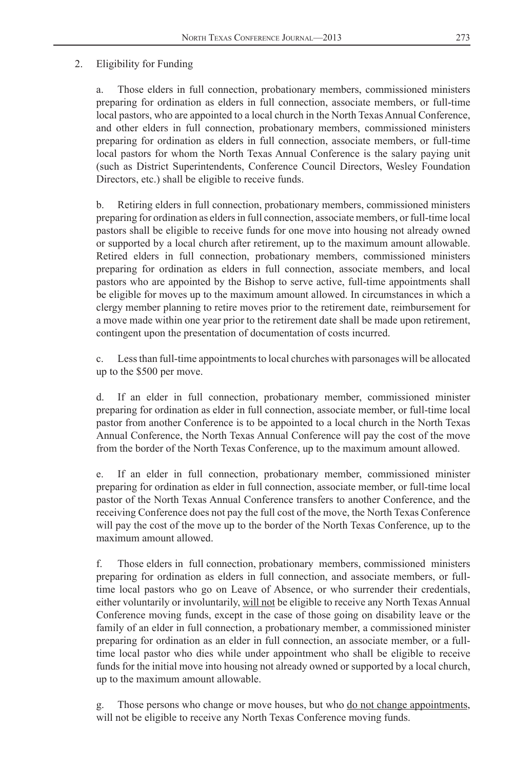#### 2. Eligibility for Funding

a. Those elders in full connection, probationary members, commissioned ministers preparing for ordination as elders in full connection, associate members, or full-time local pastors, who are appointed to a local church in the North Texas Annual Conference, and other elders in full connection, probationary members, commissioned ministers preparing for ordination as elders in full connection, associate members, or full-time local pastors for whom the North Texas Annual Conference is the salary paying unit (such as District Superintendents, Conference Council Directors, Wesley Foundation Directors, etc.) shall be eligible to receive funds.

b. Retiring elders in full connection, probationary members, commissioned ministers preparing for ordination as elders in full connection, associate members, or full-time local pastors shall be eligible to receive funds for one move into housing not already owned or supported by a local church after retirement, up to the maximum amount allowable. Retired elders in full connection, probationary members, commissioned ministers preparing for ordination as elders in full connection, associate members, and local pastors who are appointed by the Bishop to serve active, full-time appointments shall be eligible for moves up to the maximum amount allowed. In circumstances in which a clergy member planning to retire moves prior to the retirement date, reimbursement for a move made within one year prior to the retirement date shall be made upon retirement, contingent upon the presentation of documentation of costs incurred.

c. Less than full-time appointments to local churches with parsonages will be allocated up to the \$500 per move.

d. If an elder in full connection, probationary member, commissioned minister preparing for ordination as elder in full connection, associate member, or full-time local pastor from another Conference is to be appointed to a local church in the North Texas Annual Conference, the North Texas Annual Conference will pay the cost of the move from the border of the North Texas Conference, up to the maximum amount allowed.

e. If an elder in full connection, probationary member, commissioned minister preparing for ordination as elder in full connection, associate member, or full-time local pastor of the North Texas Annual Conference transfers to another Conference, and the receiving Conference does not pay the full cost of the move, the North Texas Conference will pay the cost of the move up to the border of the North Texas Conference, up to the maximum amount allowed.

f. Those elders in full connection, probationary members, commissioned ministers preparing for ordination as elders in full connection, and associate members, or fulltime local pastors who go on Leave of Absence, or who surrender their credentials, either voluntarily or involuntarily, will not be eligible to receive any North Texas Annual Conference moving funds, except in the case of those going on disability leave or the family of an elder in full connection, a probationary member, a commissioned minister preparing for ordination as an elder in full connection, an associate member, or a fulltime local pastor who dies while under appointment who shall be eligible to receive funds for the initial move into housing not already owned or supported by a local church, up to the maximum amount allowable.

Those persons who change or move houses, but who do not change appointments, will not be eligible to receive any North Texas Conference moving funds.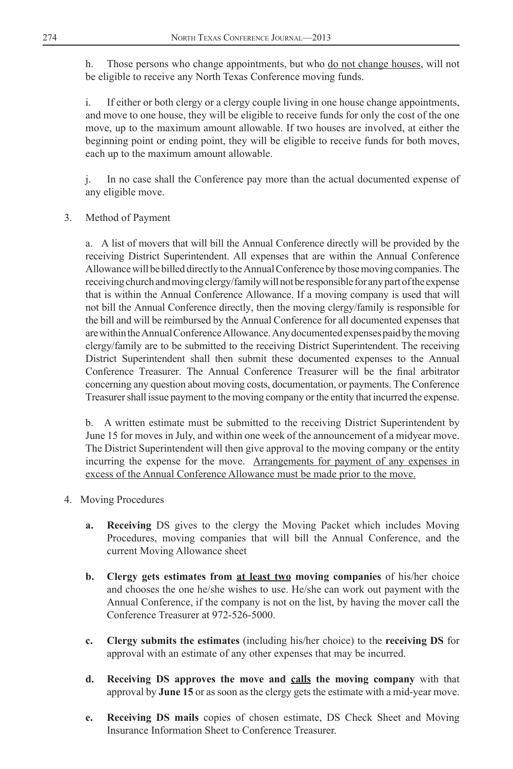h. Those persons who change appointments, but who do not change houses, will not be eligible to receive any North Texas Conference moving funds.

i. If either or both clergy or a clergy couple living in one house change appointments, and move to one house, they will be eligible to receive funds for only the cost of the one move, up to the maximum amount allowable. If two houses are involved, at either the beginning point or ending point, they will be eligible to receive funds for both moves, each up to the maximum amount allowable.

j. In no case shall the Conference pay more than the actual documented expense of any eligible move.

3. Method of Payment

a. A list of movers that will bill the Annual Conference directly will be provided by the receiving District Superintendent. All expenses that are within the Annual Conference Allowance will be billed directly to the Annual Conference by those moving companies. The receiving church and moving clergy/family will not be responsible for any part of the expense that is within the Annual Conference Allowance. If a moving company is used that will not bill the Annual Conference directly, then the moving clergy/family is responsible for the bill and will be reimbursed by the Annual Conference for all documented expenses that are within the Annual Conference Allowance. Any documented expenses paid by the moving clergy/family are to be submitted to the receiving District Superintendent. The receiving District Superintendent shall then submit these documented expenses to the Annual Conference Treasurer. The Annual Conference Treasurer will be the final arbitrator concerning any question about moving costs, documentation, or payments. The Conference Treasurer shall issue payment to the moving company or the entity that incurred the expense.

b. A written estimate must be submitted to the receiving District Superintendent by June 15 for moves in July, and within one week of the announcement of a midyear move. The District Superintendent will then give approval to the moving company or the entity incurring the expense for the move. Arrangements for payment of any expenses in excess of the Annual Conference Allowance must be made prior to the move.

- 4. Moving Procedures
	- **a. Receiving** DS gives to the clergy the Moving Packet which includes Moving Procedures, moving companies that will bill the Annual Conference, and the current Moving Allowance sheet
	- **b. Clergy gets estimates from at least two moving companies** of his/her choice and chooses the one he/she wishes to use. He/she can work out payment with the Annual Conference, if the company is not on the list, by having the mover call the Conference Treasurer at 972-526-5000.
	- **c. Clergy submits the estimates** (including his/her choice) to the **receiving DS** for approval with an estimate of any other expenses that may be incurred.
	- **d. Receiving DS approves the move and calls the moving company** with that approval by **June 15** or as soon as the clergy gets the estimate with a mid-year move.
	- **e. Receiving DS mails** copies of chosen estimate, DS Check Sheet and Moving Insurance Information Sheet to Conference Treasurer.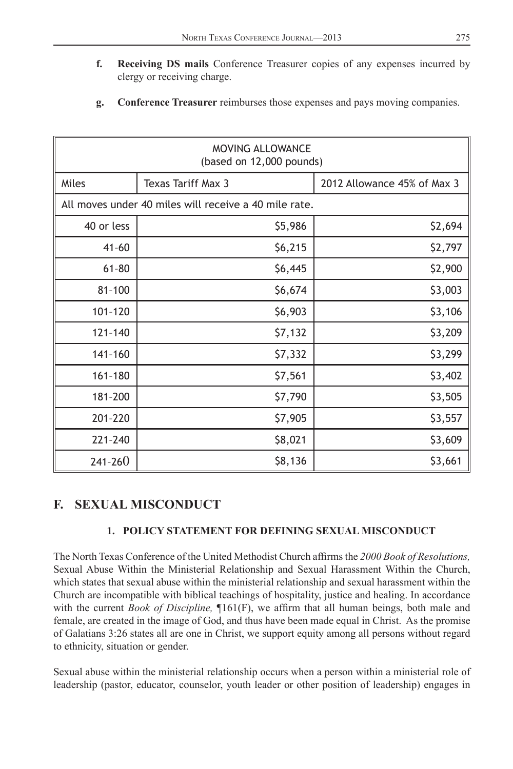- <span id="page-24-0"></span>**f. Receiving DS mails** Conference Treasurer copies of any expenses incurred by clergy or receiving charge.
- **g. Conference Treasurer** reimburses those expenses and pays moving companies.

| <b>MOVING ALLOWANCE</b><br>(based on 12,000 pounds)   |                    |                             |  |  |  |  |
|-------------------------------------------------------|--------------------|-----------------------------|--|--|--|--|
| Miles                                                 | Texas Tariff Max 3 | 2012 Allowance 45% of Max 3 |  |  |  |  |
| All moves under 40 miles will receive a 40 mile rate. |                    |                             |  |  |  |  |
| 40 or less                                            | \$5,986            | \$2,694                     |  |  |  |  |
| $41 - 60$                                             | \$6,215            | \$2,797                     |  |  |  |  |
| $61 - 80$                                             | \$6,445            | \$2,900                     |  |  |  |  |
| $81 - 100$                                            | \$6,674            | \$3,003                     |  |  |  |  |
| 101-120                                               | \$6,903            | \$3,106                     |  |  |  |  |
| $121 - 140$                                           | \$7,132            | \$3,209                     |  |  |  |  |
| 141-160                                               | \$7,332            | \$3,299                     |  |  |  |  |
| 161-180                                               | \$7,561            | \$3,402                     |  |  |  |  |
| 181-200                                               | \$7,790            | \$3,505                     |  |  |  |  |
| 201-220                                               | \$7,905            | \$3,557                     |  |  |  |  |
| 221-240                                               | \$8,021            | \$3,609                     |  |  |  |  |
| $241 - 260$                                           | \$8,136            | \$3,661                     |  |  |  |  |

## **F. SEXUAL MISCONDUCT**

### **1. POLICY STATEMENT FOR DEFINING SEXUAL MISCONDUCT**

The North Texas Conference of the United Methodist Church affirms the 2000 Book of Resolutions, Sexual Abuse Within the Ministerial Relationship and Sexual Harassment Within the Church, which states that sexual abuse within the ministerial relationship and sexual harassment within the Church are incompatible with biblical teachings of hospitality, justice and healing. In accordance with the current *Book of Discipline*,  $\P161(F)$ , we affirm that all human beings, both male and female, are created in the image of God, and thus have been made equal in Christ. As the promise of Galatians 3:26 states all are one in Christ, we support equity among all persons without regard to ethnicity, situation or gender.

Sexual abuse within the ministerial relationship occurs when a person within a ministerial role of leadership (pastor, educator, counselor, youth leader or other position of leadership) engages in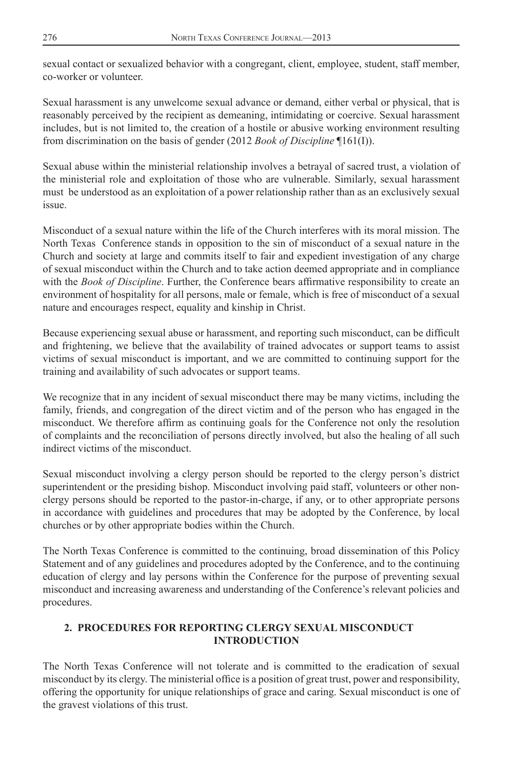sexual contact or sexualized behavior with a congregant, client, employee, student, staff member, co-worker or volunteer.

Sexual harassment is any unwelcome sexual advance or demand, either verbal or physical, that is reasonably perceived by the recipient as demeaning, intimidating or coercive. Sexual harassment includes, but is not limited to, the creation of a hostile or abusive working environment resulting from discrimination on the basis of gender (2012 *Book of Discipline* ¶161(I)).

Sexual abuse within the ministerial relationship involves a betrayal of sacred trust, a violation of the ministerial role and exploitation of those who are vulnerable. Similarly, sexual harassment must be understood as an exploitation of a power relationship rather than as an exclusively sexual issue.

Misconduct of a sexual nature within the life of the Church interferes with its moral mission. The North Texas Conference stands in opposition to the sin of misconduct of a sexual nature in the Church and society at large and commits itself to fair and expedient investigation of any charge of sexual misconduct within the Church and to take action deemed appropriate and in compliance with the *Book of Discipline*. Further, the Conference bears affirmative responsibility to create an environment of hospitality for all persons, male or female, which is free of misconduct of a sexual nature and encourages respect, equality and kinship in Christ.

Because experiencing sexual abuse or harassment, and reporting such misconduct, can be difficult and frightening, we believe that the availability of trained advocates or support teams to assist victims of sexual misconduct is important, and we are committed to continuing support for the training and availability of such advocates or support teams.

We recognize that in any incident of sexual misconduct there may be many victims, including the family, friends, and congregation of the direct victim and of the person who has engaged in the misconduct. We therefore affirm as continuing goals for the Conference not only the resolution of complaints and the reconciliation of persons directly involved, but also the healing of all such indirect victims of the misconduct.

Sexual misconduct involving a clergy person should be reported to the clergy person's district superintendent or the presiding bishop. Misconduct involving paid staff, volunteers or other nonclergy persons should be reported to the pastor-in-charge, if any, or to other appropriate persons in accordance with guidelines and procedures that may be adopted by the Conference, by local churches or by other appropriate bodies within the Church.

The North Texas Conference is committed to the continuing, broad dissemination of this Policy Statement and of any guidelines and procedures adopted by the Conference, and to the continuing education of clergy and lay persons within the Conference for the purpose of preventing sexual misconduct and increasing awareness and understanding of the Conference's relevant policies and procedures.

### **2. PROCEDURES FOR REPORTING CLERGY SEXUAL MISCONDUCT INTRODUCTION**

The North Texas Conference will not tolerate and is committed to the eradication of sexual misconduct by its clergy. The ministerial office is a position of great trust, power and responsibility, offering the opportunity for unique relationships of grace and caring. Sexual misconduct is one of the gravest violations of this trust.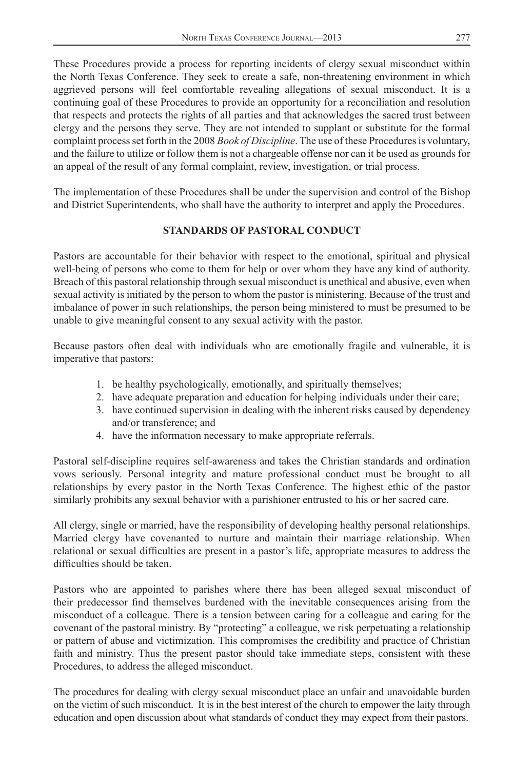These Procedures provide a process for reporting incidents of clergy sexual misconduct within the North Texas Conference. They seek to create a safe, non-threatening environment in which aggrieved persons will feel comfortable revealing allegations of sexual misconduct. It is a continuing goal of these Procedures to provide an opportunity for a reconciliation and resolution that respects and protects the rights of all parties and that acknowledges the sacred trust between clergy and the persons they serve. They are not intended to supplant or substitute for the formal complaint process set forth in the 2008 *Book of Discipline*. The use of these Procedures is voluntary, and the failure to utilize or follow them is not a chargeable offense nor can it be used as grounds for an appeal of the result of any formal complaint, review, investigation, or trial process.

The implementation of these Procedures shall be under the supervision and control of the Bishop and District Superintendents, who shall have the authority to interpret and apply the Procedures.

### **STANDARDS OF PASTORAL CONDUCT**

Pastors are accountable for their behavior with respect to the emotional, spiritual and physical well-being of persons who come to them for help or over whom they have any kind of authority. Breach of this pastoral relationship through sexual misconduct is unethical and abusive, even when sexual activity is initiated by the person to whom the pastor is ministering. Because of the trust and imbalance of power in such relationships, the person being ministered to must be presumed to be unable to give meaningful consent to any sexual activity with the pastor.

Because pastors often deal with individuals who are emotionally fragile and vulnerable, it is imperative that pastors:

- 1. be healthy psychologically, emotionally, and spiritually themselves;
- 2. have adequate preparation and education for helping individuals under their care;
- 3. have continued supervision in dealing with the inherent risks caused by dependency and/or transference; and
- 4. have the information necessary to make appropriate referrals.

Pastoral self-discipline requires self-awareness and takes the Christian standards and ordination vows seriously. Personal integrity and mature professional conduct must be brought to all relationships by every pastor in the North Texas Conference. The highest ethic of the pastor similarly prohibits any sexual behavior with a parishioner entrusted to his or her sacred care.

All clergy, single or married, have the responsibility of developing healthy personal relationships. Married clergy have covenanted to nurture and maintain their marriage relationship. When relational or sexual difficulties are present in a pastor's life, appropriate measures to address the difficulties should be taken.

Pastors who are appointed to parishes where there has been alleged sexual misconduct of their predecessor find themselves burdened with the inevitable consequences arising from the misconduct of a colleague. There is a tension between caring for a colleague and caring for the covenant of the pastoral ministry. By "protecting" a colleague, we risk perpetuating a relationship or pattern of abuse and victimization. This compromises the credibility and practice of Christian faith and ministry. Thus the present pastor should take immediate steps, consistent with these Procedures, to address the alleged misconduct.

The procedures for dealing with clergy sexual misconduct place an unfair and unavoidable burden on the victim of such misconduct. It is in the best interest of the church to empower the laity through education and open discussion about what standards of conduct they may expect from their pastors.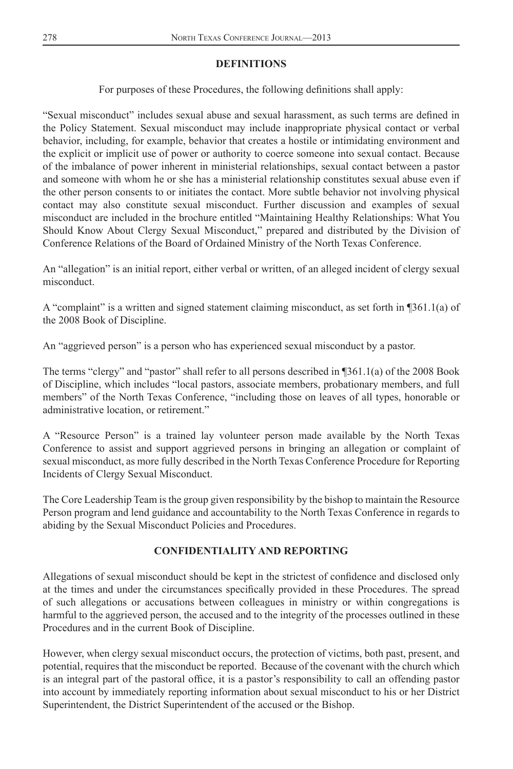### **DEFINITIONS**

For purposes of these Procedures, the following definitions shall apply:

"Sexual misconduct" includes sexual abuse and sexual harassment, as such terms are defined in the Policy Statement. Sexual misconduct may include inappropriate physical contact or verbal behavior, including, for example, behavior that creates a hostile or intimidating environment and the explicit or implicit use of power or authority to coerce someone into sexual contact. Because of the imbalance of power inherent in ministerial relationships, sexual contact between a pastor and someone with whom he or she has a ministerial relationship constitutes sexual abuse even if the other person consents to or initiates the contact. More subtle behavior not involving physical contact may also constitute sexual misconduct. Further discussion and examples of sexual misconduct are included in the brochure entitled "Maintaining Healthy Relationships: What You Should Know About Clergy Sexual Misconduct," prepared and distributed by the Division of Conference Relations of the Board of Ordained Ministry of the North Texas Conference.

An "allegation" is an initial report, either verbal or written, of an alleged incident of clergy sexual misconduct.

A "complaint" is a written and signed statement claiming misconduct, as set forth in ¶361.1(a) of the 2008 Book of Discipline.

An "aggrieved person" is a person who has experienced sexual misconduct by a pastor.

The terms "clergy" and "pastor" shall refer to all persons described in ¶361.1(a) of the 2008 Book of Discipline, which includes "local pastors, associate members, probationary members, and full members" of the North Texas Conference, "including those on leaves of all types, honorable or administrative location, or retirement."

A "Resource Person" is a trained lay volunteer person made available by the North Texas Conference to assist and support aggrieved persons in bringing an allegation or complaint of sexual misconduct, as more fully described in the North Texas Conference Procedure for Reporting Incidents of Clergy Sexual Misconduct.

The Core Leadership Team is the group given responsibility by the bishop to maintain the Resource Person program and lend guidance and accountability to the North Texas Conference in regards to abiding by the Sexual Misconduct Policies and Procedures.

### **CONFIDENTIALITY AND REPORTING**

Allegations of sexual misconduct should be kept in the strictest of confidence and disclosed only at the times and under the circumstances specifically provided in these Procedures. The spread of such allegations or accusations between colleagues in ministry or within congregations is harmful to the aggrieved person, the accused and to the integrity of the processes outlined in these Procedures and in the current Book of Discipline.

However, when clergy sexual misconduct occurs, the protection of victims, both past, present, and potential, requires that the misconduct be reported. Because of the covenant with the church which is an integral part of the pastoral office, it is a pastor's responsibility to call an offending pastor into account by immediately reporting information about sexual misconduct to his or her District Superintendent, the District Superintendent of the accused or the Bishop.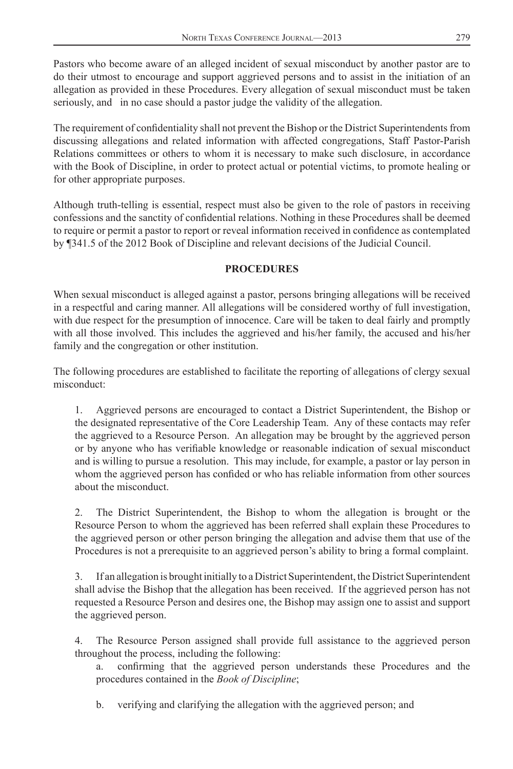Pastors who become aware of an alleged incident of sexual misconduct by another pastor are to do their utmost to encourage and support aggrieved persons and to assist in the initiation of an allegation as provided in these Procedures. Every allegation of sexual misconduct must be taken seriously, and in no case should a pastor judge the validity of the allegation.

The requirement of confidentiality shall not prevent the Bishop or the District Superintendents from discussing allegations and related information with affected congregations, Staff Pastor-Parish Relations committees or others to whom it is necessary to make such disclosure, in accordance with the Book of Discipline, in order to protect actual or potential victims, to promote healing or for other appropriate purposes.

Although truth-telling is essential, respect must also be given to the role of pastors in receiving confessions and the sanctity of confidential relations. Nothing in these Procedures shall be deemed to require or permit a pastor to report or reveal information received in confidence as contemplated by ¶341.5 of the 2012 Book of Discipline and relevant decisions of the Judicial Council.

### **PROCEDURES**

When sexual misconduct is alleged against a pastor, persons bringing allegations will be received in a respectful and caring manner. All allegations will be considered worthy of full investigation, with due respect for the presumption of innocence. Care will be taken to deal fairly and promptly with all those involved. This includes the aggrieved and his/her family, the accused and his/her family and the congregation or other institution.

The following procedures are established to facilitate the reporting of allegations of clergy sexual misconduct:

1. Aggrieved persons are encouraged to contact a District Superintendent, the Bishop or the designated representative of the Core Leadership Team. Any of these contacts may refer the aggrieved to a Resource Person. An allegation may be brought by the aggrieved person or by anyone who has verifiable knowledge or reasonable indication of sexual misconduct and is willing to pursue a resolution. This may include, for example, a pastor or lay person in whom the aggrieved person has confided or who has reliable information from other sources about the misconduct.

2. The District Superintendent, the Bishop to whom the allegation is brought or the Resource Person to whom the aggrieved has been referred shall explain these Procedures to the aggrieved person or other person bringing the allegation and advise them that use of the Procedures is not a prerequisite to an aggrieved person's ability to bring a formal complaint.

3. If an allegation is brought initially to a District Superintendent, the District Superintendent shall advise the Bishop that the allegation has been received. If the aggrieved person has not requested a Resource Person and desires one, the Bishop may assign one to assist and support the aggrieved person.

4. The Resource Person assigned shall provide full assistance to the aggrieved person throughout the process, including the following:

a. confirming that the aggrieved person understands these Procedures and the procedures contained in the *Book of Discipline*;

b. verifying and clarifying the allegation with the aggrieved person; and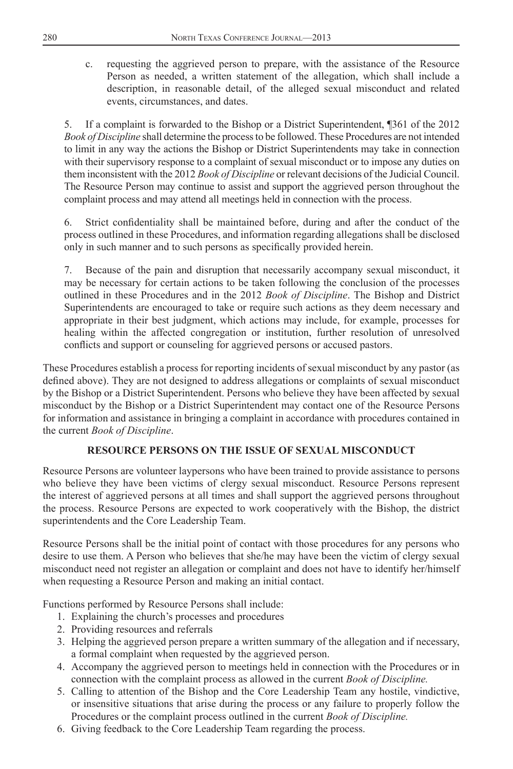c. requesting the aggrieved person to prepare, with the assistance of the Resource Person as needed, a written statement of the allegation, which shall include a description, in reasonable detail, of the alleged sexual misconduct and related events, circumstances, and dates.

5. If a complaint is forwarded to the Bishop or a District Superintendent, ¶361 of the 2012 *Book of Discipline* shall determine the process to be followed. These Procedures are not intended to limit in any way the actions the Bishop or District Superintendents may take in connection with their supervisory response to a complaint of sexual misconduct or to impose any duties on them inconsistent with the 2012 *Book of Discipline* or relevant decisions of the Judicial Council. The Resource Person may continue to assist and support the aggrieved person throughout the complaint process and may attend all meetings held in connection with the process.

Strict confidentiality shall be maintained before, during and after the conduct of the process outlined in these Procedures, and information regarding allegations shall be disclosed only in such manner and to such persons as specifically provided herein.

7. Because of the pain and disruption that necessarily accompany sexual misconduct, it may be necessary for certain actions to be taken following the conclusion of the processes outlined in these Procedures and in the 2012 *Book of Discipline*. The Bishop and District Superintendents are encouraged to take or require such actions as they deem necessary and appropriate in their best judgment, which actions may include, for example, processes for healing within the affected congregation or institution, further resolution of unresolved conflicts and support or counseling for aggrieved persons or accused pastors.

These Procedures establish a process for reporting incidents of sexual misconduct by any pastor (as defined above). They are not designed to address allegations or complaints of sexual misconduct by the Bishop or a District Superintendent. Persons who believe they have been affected by sexual misconduct by the Bishop or a District Superintendent may contact one of the Resource Persons for information and assistance in bringing a complaint in accordance with procedures contained in the current *Book of Discipline*.

### **RESOURCE PERSONS ON THE ISSUE OF SEXUAL MISCONDUCT**

Resource Persons are volunteer laypersons who have been trained to provide assistance to persons who believe they have been victims of clergy sexual misconduct. Resource Persons represent the interest of aggrieved persons at all times and shall support the aggrieved persons throughout the process. Resource Persons are expected to work cooperatively with the Bishop, the district superintendents and the Core Leadership Team.

Resource Persons shall be the initial point of contact with those procedures for any persons who desire to use them. A Person who believes that she/he may have been the victim of clergy sexual misconduct need not register an allegation or complaint and does not have to identify her/himself when requesting a Resource Person and making an initial contact.

Functions performed by Resource Persons shall include:

- 1. Explaining the church's processes and procedures
- 2. Providing resources and referrals
- 3. Helping the aggrieved person prepare a written summary of the allegation and if necessary, a formal complaint when requested by the aggrieved person.
- 4. Accompany the aggrieved person to meetings held in connection with the Procedures or in connection with the complaint process as allowed in the current *Book of Discipline.*
- 5. Calling to attention of the Bishop and the Core Leadership Team any hostile, vindictive, or insensitive situations that arise during the process or any failure to properly follow the Procedures or the complaint process outlined in the current *Book of Discipline.*
- 6. Giving feedback to the Core Leadership Team regarding the process.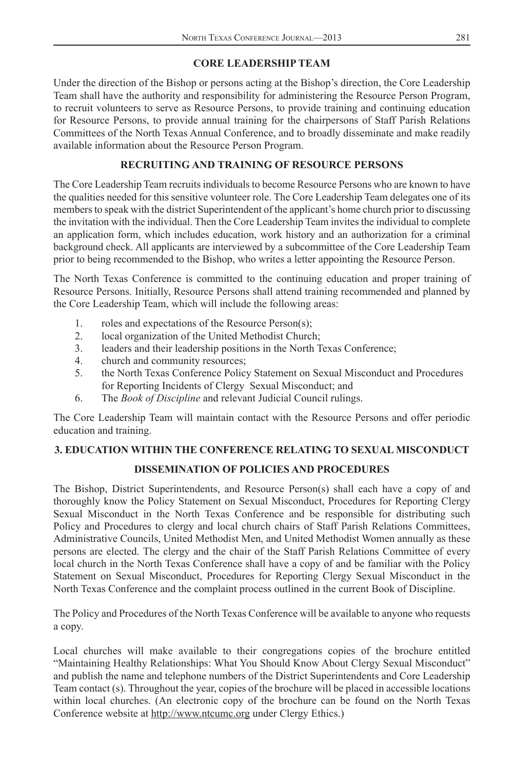### **CORE LEADERSHIP TEAM**

Under the direction of the Bishop or persons acting at the Bishop's direction, the Core Leadership Team shall have the authority and responsibility for administering the Resource Person Program, to recruit volunteers to serve as Resource Persons, to provide training and continuing education for Resource Persons, to provide annual training for the chairpersons of Staff Parish Relations Committees of the North Texas Annual Conference, and to broadly disseminate and make readily available information about the Resource Person Program.

### **RECRUITING AND TRAINING OF RESOURCE PERSONS**

The Core Leadership Team recruits individuals to become Resource Persons who are known to have the qualities needed for this sensitive volunteer role. The Core Leadership Team delegates one of its members to speak with the district Superintendent of the applicant's home church prior to discussing the invitation with the individual. Then the Core Leadership Team invites the individual to complete an application form, which includes education, work history and an authorization for a criminal background check. All applicants are interviewed by a subcommittee of the Core Leadership Team prior to being recommended to the Bishop, who writes a letter appointing the Resource Person.

The North Texas Conference is committed to the continuing education and proper training of Resource Persons. Initially, Resource Persons shall attend training recommended and planned by the Core Leadership Team, which will include the following areas:

- 1. roles and expectations of the Resource Person(s);
- 2. local organization of the United Methodist Church;
- 3. leaders and their leadership positions in the North Texas Conference;
- 4. church and community resources;
- 5. the North Texas Conference Policy Statement on Sexual Misconduct and Procedures for Reporting Incidents of Clergy Sexual Misconduct; and
- 6. The *Book of Discipline* and relevant Judicial Council rulings.

The Core Leadership Team will maintain contact with the Resource Persons and offer periodic education and training.

### **3. EDUCATION WITHIN THE CONFERENCE RELATING TO SEXUAL MISCONDUCT**

### **DISSEMINATION OF POLICIES AND PROCEDURES**

The Bishop, District Superintendents, and Resource Person(s) shall each have a copy of and thoroughly know the Policy Statement on Sexual Misconduct, Procedures for Reporting Clergy Sexual Misconduct in the North Texas Conference and be responsible for distributing such Policy and Procedures to clergy and local church chairs of Staff Parish Relations Committees, Administrative Councils, United Methodist Men, and United Methodist Women annually as these persons are elected. The clergy and the chair of the Staff Parish Relations Committee of every local church in the North Texas Conference shall have a copy of and be familiar with the Policy Statement on Sexual Misconduct, Procedures for Reporting Clergy Sexual Misconduct in the North Texas Conference and the complaint process outlined in the current Book of Discipline.

The Policy and Procedures of the North Texas Conference will be available to anyone who requests a copy.

Local churches will make available to their congregations copies of the brochure entitled "Maintaining Healthy Relationships: What You Should Know About Clergy Sexual Misconduct" and publish the name and telephone numbers of the District Superintendents and Core Leadership Team contact (s). Throughout the year, copies of the brochure will be placed in accessible locations within local churches. (An electronic copy of the brochure can be found on the North Texas Conference website at http://www.ntcumc.org under Clergy Ethics.)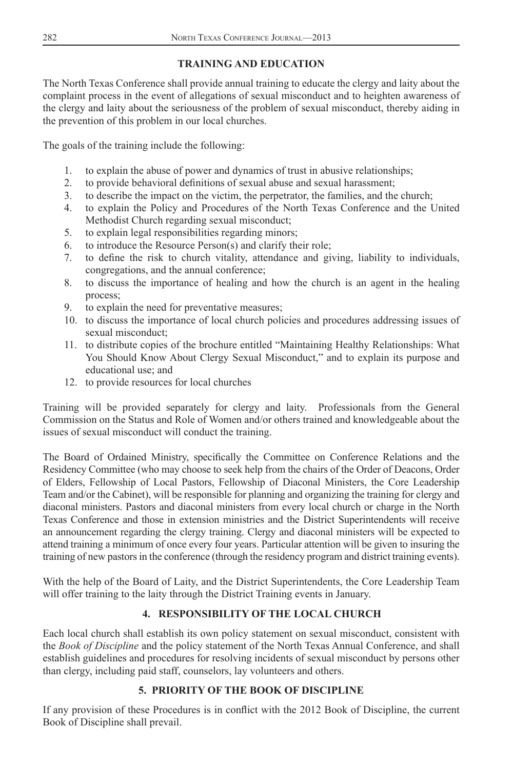### **TRAINING AND EDUCATION**

The North Texas Conference shall provide annual training to educate the clergy and laity about the complaint process in the event of allegations of sexual misconduct and to heighten awareness of the clergy and laity about the seriousness of the problem of sexual misconduct, thereby aiding in the prevention of this problem in our local churches.

The goals of the training include the following:

- 1. to explain the abuse of power and dynamics of trust in abusive relationships;
- 2. to provide behavioral definitions of sexual abuse and sexual harassment;
- 3. to describe the impact on the victim, the perpetrator, the families, and the church;
- 4. to explain the Policy and Procedures of the North Texas Conference and the United Methodist Church regarding sexual misconduct;
- 5. to explain legal responsibilities regarding minors;
- 6. to introduce the Resource Person(s) and clarify their role;
- 7. to define the risk to church vitality, attendance and giving, liability to individuals, congregations, and the annual conference;
- 8. to discuss the importance of healing and how the church is an agent in the healing process;
- 9. to explain the need for preventative measures;
- 10. to discuss the importance of local church policies and procedures addressing issues of sexual misconduct;
- 11. to distribute copies of the brochure entitled "Maintaining Healthy Relationships: What You Should Know About Clergy Sexual Misconduct," and to explain its purpose and educational use; and
- 12. to provide resources for local churches

Training will be provided separately for clergy and laity. Professionals from the General Commission on the Status and Role of Women and/or others trained and knowledgeable about the issues of sexual misconduct will conduct the training.

The Board of Ordained Ministry, specifically the Committee on Conference Relations and the Residency Committee (who may choose to seek help from the chairs of the Order of Deacons, Order of Elders, Fellowship of Local Pastors, Fellowship of Diaconal Ministers, the Core Leadership Team and/or the Cabinet), will be responsible for planning and organizing the training for clergy and diaconal ministers. Pastors and diaconal ministers from every local church or charge in the North Texas Conference and those in extension ministries and the District Superintendents will receive an announcement regarding the clergy training. Clergy and diaconal ministers will be expected to attend training a minimum of once every four years. Particular attention will be given to insuring the training of new pastors in the conference (through the residency program and district training events).

With the help of the Board of Laity, and the District Superintendents, the Core Leadership Team will offer training to the laity through the District Training events in January.

## **4. RESPONSIBILITY OF THE LOCAL CHURCH**

Each local church shall establish its own policy statement on sexual misconduct, consistent with the *Book of Discipline* and the policy statement of the North Texas Annual Conference, and shall establish guidelines and procedures for resolving incidents of sexual misconduct by persons other than clergy, including paid staff, counselors, lay volunteers and others.

### **5. PRIORITY OF THE BOOK OF DISCIPLINE**

If any provision of these Procedures is in conflict with the 2012 Book of Discipline, the current Book of Discipline shall prevail.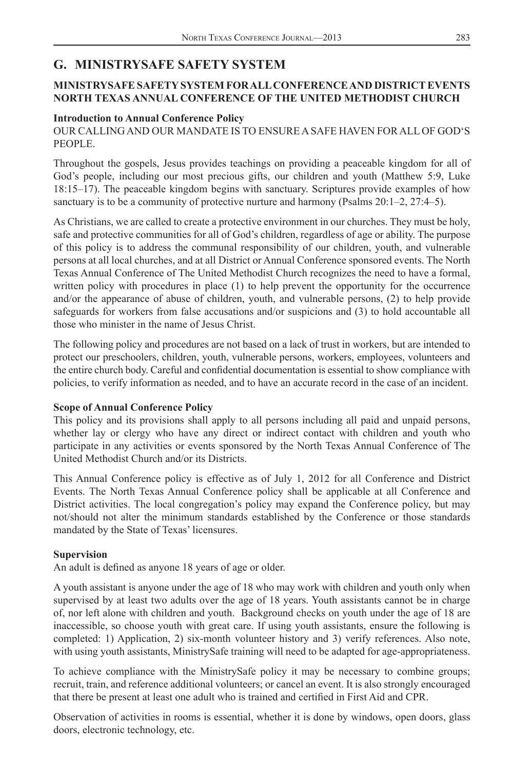## <span id="page-32-0"></span>**G. MINISTRYSAFE SAFETY SYSTEM**

### **MINISTRYSAFE SAFETY SYSTEM FOR ALL CONFERENCE AND DISTRICT EVENTS NORTH TEXAS ANNUAL CONFERENCE OF THE UNITED METHODIST CHURCH**

### **Introduction to Annual Conference Policy**

OUR CALLING AND OUR MANDATE IS TO ENSURE A SAFE HAVEN FOR ALL OF GOD'S PEOPLE.

Throughout the gospels, Jesus provides teachings on providing a peaceable kingdom for all of God's people, including our most precious gifts, our children and youth (Matthew 5:9, Luke 18:15–17). The peaceable kingdom begins with sanctuary. Scriptures provide examples of how sanctuary is to be a community of protective nurture and harmony (Psalms 20:1–2, 27:4–5).

As Christians, we are called to create a protective environment in our churches. They must be holy, safe and protective communities for all of God's children, regardless of age or ability. The purpose of this policy is to address the communal responsibility of our children, youth, and vulnerable persons at all local churches, and at all District or Annual Conference sponsored events. The North Texas Annual Conference of The United Methodist Church recognizes the need to have a formal, written policy with procedures in place (1) to help prevent the opportunity for the occurrence and/or the appearance of abuse of children, youth, and vulnerable persons, (2) to help provide safeguards for workers from false accusations and/or suspicions and (3) to hold accountable all those who minister in the name of Jesus Christ.

The following policy and procedures are not based on a lack of trust in workers, but are intended to protect our preschoolers, children, youth, vulnerable persons, workers, employees, volunteers and the entire church body. Careful and confidential documentation is essential to show compliance with policies, to verify information as needed, and to have an accurate record in the case of an incident.

### **Scope of Annual Conference Policy**

This policy and its provisions shall apply to all persons including all paid and unpaid persons, whether lay or clergy who have any direct or indirect contact with children and youth who participate in any activities or events sponsored by the North Texas Annual Conference of The United Methodist Church and/or its Districts.

This Annual Conference policy is effective as of July 1, 2012 for all Conference and District Events. The North Texas Annual Conference policy shall be applicable at all Conference and District activities. The local congregation's policy may expand the Conference policy, but may not/should not alter the minimum standards established by the Conference or those standards mandated by the State of Texas' licensures.

### **Supervision**

An adult is defined as anyone 18 years of age or older.

A youth assistant is anyone under the age of 18 who may work with children and youth only when supervised by at least two adults over the age of 18 years. Youth assistants cannot be in charge of, nor left alone with children and youth. Background checks on youth under the age of 18 are inaccessible, so choose youth with great care. If using youth assistants, ensure the following is completed: 1) Application, 2) six-month volunteer history and 3) verify references. Also note, with using youth assistants, MinistrySafe training will need to be adapted for age-appropriateness.

To achieve compliance with the MinistrySafe policy it may be necessary to combine groups; recruit, train, and reference additional volunteers; or cancel an event. It is also strongly encouraged that there be present at least one adult who is trained and certified in First Aid and CPR.

Observation of activities in rooms is essential, whether it is done by windows, open doors, glass doors, electronic technology, etc.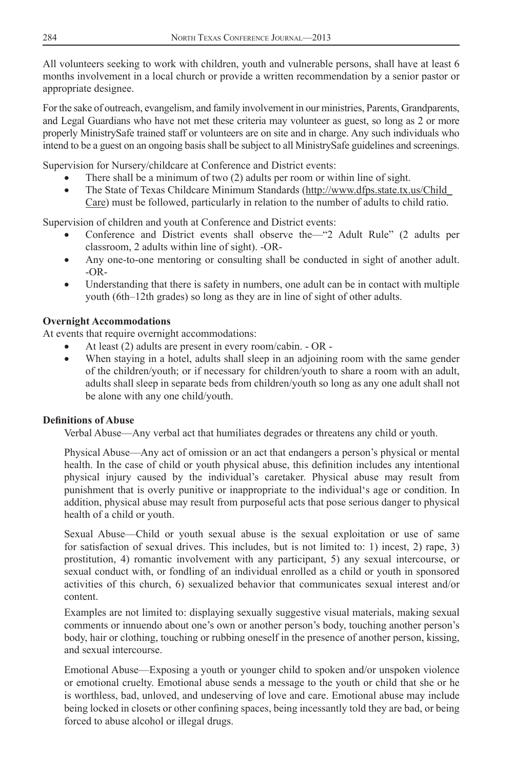All volunteers seeking to work with children, youth and vulnerable persons, shall have at least 6 months involvement in a local church or provide a written recommendation by a senior pastor or appropriate designee.

For the sake of outreach, evangelism, and family involvement in our ministries, Parents, Grandparents, and Legal Guardians who have not met these criteria may volunteer as guest, so long as 2 or more properly MinistrySafe trained staff or volunteers are on site and in charge. Any such individuals who intend to be a guest on an ongoing basis shall be subject to all MinistrySafe guidelines and screenings.

Supervision for Nursery/childcare at Conference and District events:

- There shall be a minimum of two (2) adults per room or within line of sight.
- The State of Texas Childcare Minimum Standards (http://www.dfps.state.tx.us/Child\_ Care) must be followed, particularly in relation to the number of adults to child ratio.

Supervision of children and youth at Conference and District events:

- Conference and District events shall observe the—"2 Adult Rule" (2 adults per classroom, 2 adults within line of sight). -OR-
- Any one-to-one mentoring or consulting shall be conducted in sight of another adult. -OR-
- Understanding that there is safety in numbers, one adult can be in contact with multiple youth (6th–12th grades) so long as they are in line of sight of other adults.

### **Overnight Accommodations**

At events that require overnight accommodations:

- At least (2) adults are present in every room/cabin. OR -
- When staying in a hotel, adults shall sleep in an adjoining room with the same gender of the children/youth; or if necessary for children/youth to share a room with an adult, adults shall sleep in separate beds from children/youth so long as any one adult shall not be alone with any one child/youth.

### **Definitions of Abuse**

Verbal Abuse—Any verbal act that humiliates degrades or threatens any child or youth.

Physical Abuse—Any act of omission or an act that endangers a person's physical or mental health. In the case of child or youth physical abuse, this definition includes any intentional physical injury caused by the individual's caretaker. Physical abuse may result from punishment that is overly punitive or inappropriate to the individual's age or condition. In addition, physical abuse may result from purposeful acts that pose serious danger to physical health of a child or youth.

Sexual Abuse—Child or youth sexual abuse is the sexual exploitation or use of same for satisfaction of sexual drives. This includes, but is not limited to: 1) incest, 2) rape, 3) prostitution, 4) romantic involvement with any participant, 5) any sexual intercourse, or sexual conduct with, or fondling of an individual enrolled as a child or youth in sponsored activities of this church, 6) sexualized behavior that communicates sexual interest and/or content.

Examples are not limited to: displaying sexually suggestive visual materials, making sexual comments or innuendo about one's own or another person's body, touching another person's body, hair or clothing, touching or rubbing oneself in the presence of another person, kissing, and sexual intercourse.

Emotional Abuse—Exposing a youth or younger child to spoken and/or unspoken violence or emotional cruelty. Emotional abuse sends a message to the youth or child that she or he is worthless, bad, unloved, and undeserving of love and care. Emotional abuse may include being locked in closets or other confining spaces, being incessantly told they are bad, or being forced to abuse alcohol or illegal drugs.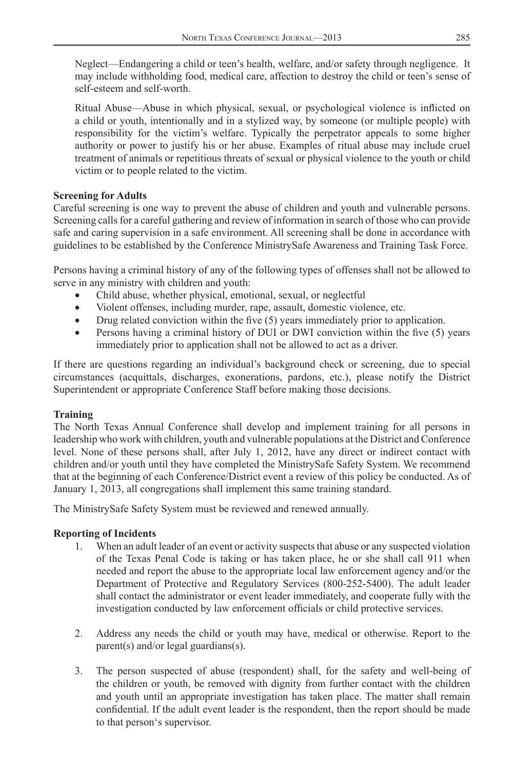Neglect—Endangering a child or teen's health, welfare, and/or safety through negligence. It may include withholding food, medical care, affection to destroy the child or teen's sense of self-esteem and self-worth.

Ritual Abuse—Abuse in which physical, sexual, or psychological violence is inflicted on a child or youth, intentionally and in a stylized way, by someone (or multiple people) with responsibility for the victim's welfare. Typically the perpetrator appeals to some higher authority or power to justify his or her abuse. Examples of ritual abuse may include cruel treatment of animals or repetitious threats of sexual or physical violence to the youth or child victim or to people related to the victim.

### **Screening for Adults**

Careful screening is one way to prevent the abuse of children and youth and vulnerable persons. Screening calls for a careful gathering and review of information in search of those who can provide safe and caring supervision in a safe environment. All screening shall be done in accordance with guidelines to be established by the Conference MinistrySafe Awareness and Training Task Force.

Persons having a criminal history of any of the following types of offenses shall not be allowed to serve in any ministry with children and youth:

- Child abuse, whether physical, emotional, sexual, or neglectful
- Violent offenses, including murder, rape, assault, domestic violence, etc.
- Drug related conviction within the five  $(5)$  years immediately prior to application.
- Persons having a criminal history of DUI or DWI conviction within the five (5) years immediately prior to application shall not be allowed to act as a driver.

If there are questions regarding an individual's background check or screening, due to special circumstances (acquittals, discharges, exonerations, pardons, etc.), please notify the District Superintendent or appropriate Conference Staff before making those decisions.

### **Training**

The North Texas Annual Conference shall develop and implement training for all persons in leadership who work with children, youth and vulnerable populations at the District and Conference level. None of these persons shall, after July 1, 2012, have any direct or indirect contact with children and/or youth until they have completed the MinistrySafe Safety System. We recommend that at the beginning of each Conference/District event a review of this policy be conducted. As of January 1, 2013, all congregations shall implement this same training standard.

The MinistrySafe Safety System must be reviewed and renewed annually.

### **Reporting of Incidents**

- 1. When an adult leader of an event or activity suspects that abuse or any suspected violation of the Texas Penal Code is taking or has taken place, he or she shall call 911 when needed and report the abuse to the appropriate local law enforcement agency and/or the Department of Protective and Regulatory Services (800-252-5400). The adult leader shall contact the administrator or event leader immediately, and cooperate fully with the investigation conducted by law enforcement officials or child protective services.
- 2. Address any needs the child or youth may have, medical or otherwise. Report to the parent(s) and/or legal guardians(s).
- 3. The person suspected of abuse (respondent) shall, for the safety and well-being of the children or youth, be removed with dignity from further contact with the children and youth until an appropriate investigation has taken place. The matter shall remain confidential. If the adult event leader is the respondent, then the report should be made to that person's supervisor.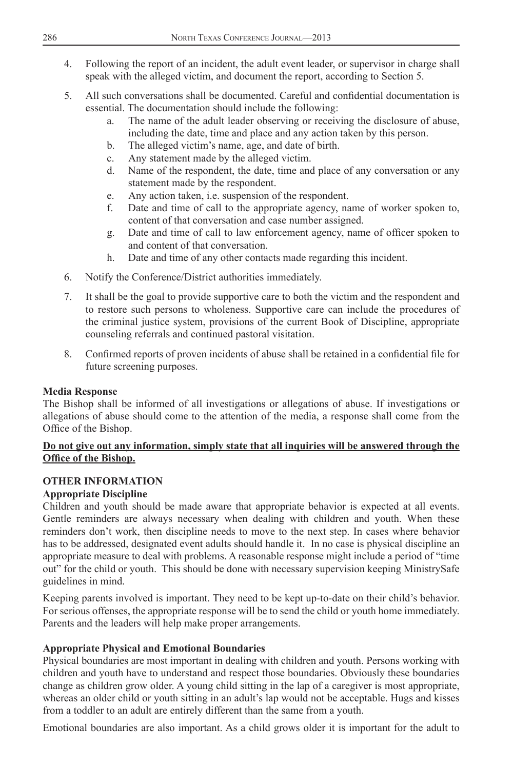- 4. Following the report of an incident, the adult event leader, or supervisor in charge shall speak with the alleged victim, and document the report, according to Section 5.
- 5. All such conversations shall be documented. Careful and confidential documentation is essential. The documentation should include the following:
	- a. The name of the adult leader observing or receiving the disclosure of abuse, including the date, time and place and any action taken by this person.
	- b. The alleged victim's name, age, and date of birth.
	- c. Any statement made by the alleged victim.
	- d. Name of the respondent, the date, time and place of any conversation or any statement made by the respondent.
	- e. Any action taken, i.e. suspension of the respondent.
	- f. Date and time of call to the appropriate agency, name of worker spoken to, content of that conversation and case number assigned.
	- g. Date and time of call to law enforcement agency, name of officer spoken to and content of that conversation.
	- h. Date and time of any other contacts made regarding this incident.
- 6. Notify the Conference/District authorities immediately.
- 7. It shall be the goal to provide supportive care to both the victim and the respondent and to restore such persons to wholeness. Supportive care can include the procedures of the criminal justice system, provisions of the current Book of Discipline, appropriate counseling referrals and continued pastoral visitation.
- 8. Confirmed reports of proven incidents of abuse shall be retained in a confidential file for future screening purposes.

### **Media Response**

The Bishop shall be informed of all investigations or allegations of abuse. If investigations or allegations of abuse should come to the attention of the media, a response shall come from the Office of the Bishop.

### **Do not give out any information, simply state that all inquiries will be answered through the Office of the Bishop.**

### **OTHER INFORMATION**

### **Appropriate Discipline**

Children and youth should be made aware that appropriate behavior is expected at all events. Gentle reminders are always necessary when dealing with children and youth. When these reminders don't work, then discipline needs to move to the next step. In cases where behavior has to be addressed, designated event adults should handle it. In no case is physical discipline an appropriate measure to deal with problems. A reasonable response might include a period of "time out" for the child or youth. This should be done with necessary supervision keeping MinistrySafe guidelines in mind.

Keeping parents involved is important. They need to be kept up-to-date on their child's behavior. For serious offenses, the appropriate response will be to send the child or youth home immediately. Parents and the leaders will help make proper arrangements.

### **Appropriate Physical and Emotional Boundaries**

Physical boundaries are most important in dealing with children and youth. Persons working with children and youth have to understand and respect those boundaries. Obviously these boundaries change as children grow older. A young child sitting in the lap of a caregiver is most appropriate, whereas an older child or youth sitting in an adult's lap would not be acceptable. Hugs and kisses from a toddler to an adult are entirely different than the same from a youth.

Emotional boundaries are also important. As a child grows older it is important for the adult to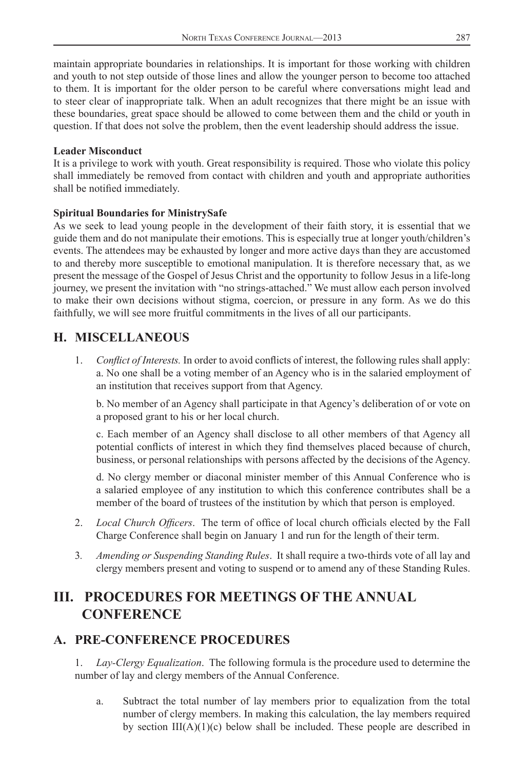<span id="page-36-0"></span>maintain appropriate boundaries in relationships. It is important for those working with children and youth to not step outside of those lines and allow the younger person to become too attached to them. It is important for the older person to be careful where conversations might lead and to steer clear of inappropriate talk. When an adult recognizes that there might be an issue with these boundaries, great space should be allowed to come between them and the child or youth in question. If that does not solve the problem, then the event leadership should address the issue.

### **Leader Misconduct**

It is a privilege to work with youth. Great responsibility is required. Those who violate this policy shall immediately be removed from contact with children and youth and appropriate authorities shall be notified immediately.

### **Spiritual Boundaries for MinistrySafe**

As we seek to lead young people in the development of their faith story, it is essential that we guide them and do not manipulate their emotions. This is especially true at longer youth/children's events. The attendees may be exhausted by longer and more active days than they are accustomed to and thereby more susceptible to emotional manipulation. It is therefore necessary that, as we present the message of the Gospel of Jesus Christ and the opportunity to follow Jesus in a life-long journey, we present the invitation with "no strings-attached." We must allow each person involved to make their own decisions without stigma, coercion, or pressure in any form. As we do this faithfully, we will see more fruitful commitments in the lives of all our participants.

## **H. MISCELLANEOUS**

1. *Conflict of Interests*. In order to avoid conflicts of interest, the following rules shall apply: a. No one shall be a voting member of an Agency who is in the salaried employment of an institution that receives support from that Agency.

b. No member of an Agency shall participate in that Agency's deliberation of or vote on a proposed grant to his or her local church.

c. Each member of an Agency shall disclose to all other members of that Agency all potential conflicts of interest in which they find themselves placed because of church, business, or personal relationships with persons affected by the decisions of the Agency.

d. No clergy member or diaconal minister member of this Annual Conference who is a salaried employee of any institution to which this conference contributes shall be a member of the board of trustees of the institution by which that person is employed.

- 2. *Local Church Officers*. The term of office of local church officials elected by the Fall Charge Conference shall begin on January 1 and run for the length of their term.
- 3*. Amending or Suspending Standing Rules*. It shall require a two-thirds vote of all lay and clergy members present and voting to suspend or to amend any of these Standing Rules.

# **III. PROCEDURES FOR MEETINGS OF THE ANNUAL CONFERENCE**

# **A. PRE-CONFERENCE PROCEDURES**

1. *Lay-Clergy Equalization*. The following formula is the procedure used to determine the number of lay and clergy members of the Annual Conference.

a. Subtract the total number of lay members prior to equalization from the total number of clergy members. In making this calculation, the lay members required by section  $III(A)(1)(c)$  below shall be included. These people are described in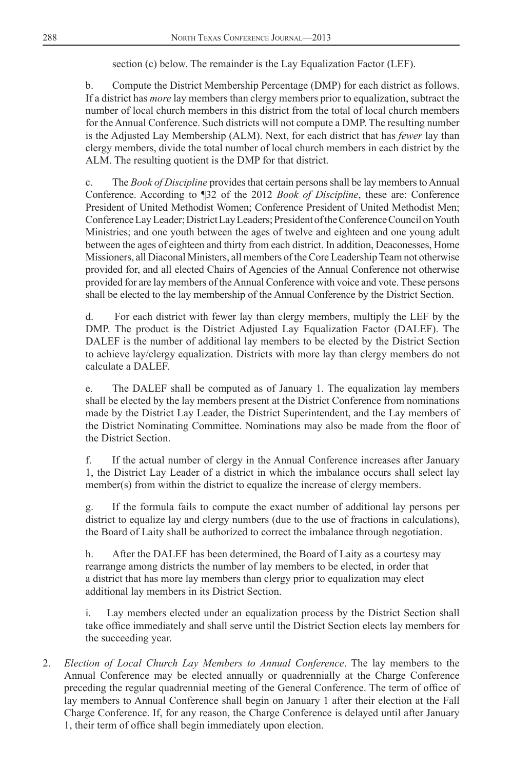section (c) below. The remainder is the Lay Equalization Factor (LEF).

b. Compute the District Membership Percentage (DMP) for each district as follows. If a district has *more* lay members than clergy members prior to equalization, subtract the number of local church members in this district from the total of local church members for the Annual Conference. Such districts will not compute a DMP. The resulting number is the Adjusted Lay Membership (ALM). Next, for each district that has *fewer* lay than clergy members, divide the total number of local church members in each district by the ALM. The resulting quotient is the DMP for that district.

c. The *Book of Discipline* provides that certain persons shall be lay members to Annual Conference. According to ¶32 of the 2012 *Book of Discipline*, these are: Conference President of United Methodist Women; Conference President of United Methodist Men; Conference Lay Leader; District Lay Leaders; President of the Conference Council on Youth Ministries; and one youth between the ages of twelve and eighteen and one young adult between the ages of eighteen and thirty from each district. In addition, Deaconesses, Home Missioners, all Diaconal Ministers, all members of the Core Leadership Team not otherwise provided for, and all elected Chairs of Agencies of the Annual Conference not otherwise provided for are lay members of the Annual Conference with voice and vote. These persons shall be elected to the lay membership of the Annual Conference by the District Section.

d. For each district with fewer lay than clergy members, multiply the LEF by the DMP. The product is the District Adjusted Lay Equalization Factor (DALEF). The DALEF is the number of additional lay members to be elected by the District Section to achieve lay/clergy equalization. Districts with more lay than clergy members do not calculate a DALEF.

e. The DALEF shall be computed as of January 1. The equalization lay members shall be elected by the lay members present at the District Conference from nominations made by the District Lay Leader, the District Superintendent, and the Lay members of the District Nominating Committee. Nominations may also be made from the floor of the District Section.

f. If the actual number of clergy in the Annual Conference increases after January 1, the District Lay Leader of a district in which the imbalance occurs shall select lay member(s) from within the district to equalize the increase of clergy members.

g. If the formula fails to compute the exact number of additional lay persons per district to equalize lay and clergy numbers (due to the use of fractions in calculations), the Board of Laity shall be authorized to correct the imbalance through negotiation.

h. After the DALEF has been determined, the Board of Laity as a courtesy may rearrange among districts the number of lay members to be elected, in order that a district that has more lay members than clergy prior to equalization may elect additional lay members in its District Section.

i. Lay members elected under an equalization process by the District Section shall take office immediately and shall serve until the District Section elects lay members for the succeeding year.

2. *Election of Local Church Lay Members to Annual Conference*. The lay members to the Annual Conference may be elected annually or quadrennially at the Charge Conference preceding the regular quadrennial meeting of the General Conference. The term of office of lay members to Annual Conference shall begin on January 1 after their election at the Fall Charge Conference. If, for any reason, the Charge Conference is delayed until after January 1, their term of office shall begin immediately upon election.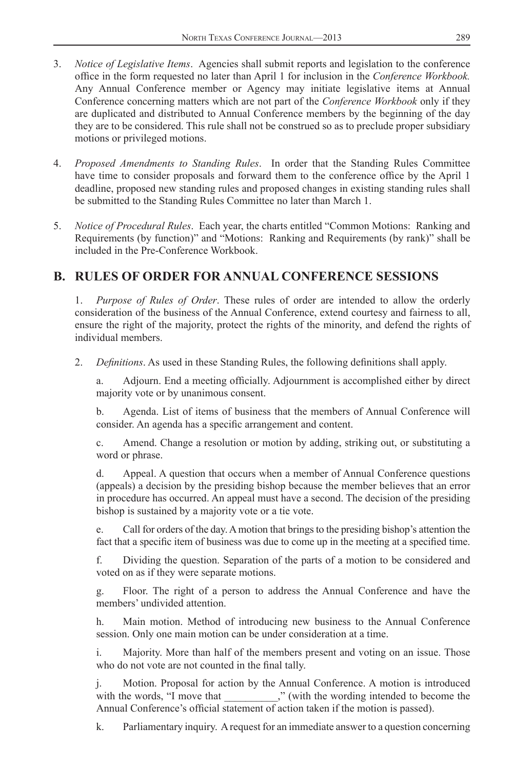- <span id="page-38-0"></span>3. *Notice of Legislative Items*. Agencies shall submit reports and legislation to the conference office in the form requested no later than April 1 for inclusion in the *Conference Workbook*. Any Annual Conference member or Agency may initiate legislative items at Annual Conference concerning matters which are not part of the *Conference Workbook* only if they are duplicated and distributed to Annual Conference members by the beginning of the day they are to be considered. This rule shall not be construed so as to preclude proper subsidiary motions or privileged motions.
- 4. *Proposed Amendments to Standing Rules*. In order that the Standing Rules Committee have time to consider proposals and forward them to the conference office by the April 1 deadline, proposed new standing rules and proposed changes in existing standing rules shall be submitted to the Standing Rules Committee no later than March 1.
- 5. *Notice of Procedural Rules*. Each year, the charts entitled "Common Motions: Ranking and Requirements (by function)" and "Motions: Ranking and Requirements (by rank)" shall be included in the Pre-Conference Workbook.

## **B. RULES OF ORDER FOR ANNUAL CONFERENCE SESSIONS**

1. *Purpose of Rules of Order*. These rules of order are intended to allow the orderly consideration of the business of the Annual Conference, extend courtesy and fairness to all, ensure the right of the majority, protect the rights of the minority, and defend the rights of individual members.

2. *Definitions*. As used in these Standing Rules, the following definitions shall apply.

Adjourn. End a meeting officially. Adjournment is accomplished either by direct majority vote or by unanimous consent.

b. Agenda. List of items of business that the members of Annual Conference will consider. An agenda has a specific arrangement and content.

c. Amend. Change a resolution or motion by adding, striking out, or substituting a word or phrase.

d. Appeal. A question that occurs when a member of Annual Conference questions (appeals) a decision by the presiding bishop because the member believes that an error in procedure has occurred. An appeal must have a second. The decision of the presiding bishop is sustained by a majority vote or a tie vote.

e. Call for orders of the day. A motion that brings to the presiding bishop's attention the fact that a specific item of business was due to come up in the meeting at a specified time.

f. Dividing the question. Separation of the parts of a motion to be considered and voted on as if they were separate motions.

g. Floor. The right of a person to address the Annual Conference and have the members' undivided attention.

h. Main motion. Method of introducing new business to the Annual Conference session. Only one main motion can be under consideration at a time.

i. Majority. More than half of the members present and voting on an issue. Those who do not vote are not counted in the final tally.

j. Motion. Proposal for action by the Annual Conference. A motion is introduced with the words, "I move that \_\_\_\_\_\_\_," (with the wording intended to become the Annual Conference's official statement of action taken if the motion is passed).

k. Parliamentary inquiry. A request for an immediate answer to a question concerning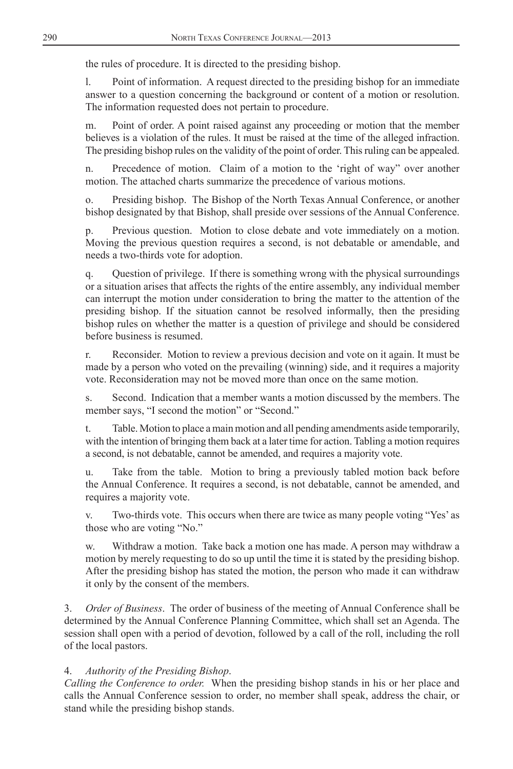the rules of procedure. It is directed to the presiding bishop.

l. Point of information. A request directed to the presiding bishop for an immediate answer to a question concerning the background or content of a motion or resolution. The information requested does not pertain to procedure.

m. Point of order. A point raised against any proceeding or motion that the member believes is a violation of the rules. It must be raised at the time of the alleged infraction. The presiding bishop rules on the validity of the point of order. This ruling can be appealed.

n. Precedence of motion. Claim of a motion to the 'right of way" over another motion. The attached charts summarize the precedence of various motions.

o. Presiding bishop. The Bishop of the North Texas Annual Conference, or another bishop designated by that Bishop, shall preside over sessions of the Annual Conference.

p. Previous question. Motion to close debate and vote immediately on a motion. Moving the previous question requires a second, is not debatable or amendable, and needs a two-thirds vote for adoption.

q. Question of privilege. If there is something wrong with the physical surroundings or a situation arises that affects the rights of the entire assembly, any individual member can interrupt the motion under consideration to bring the matter to the attention of the presiding bishop. If the situation cannot be resolved informally, then the presiding bishop rules on whether the matter is a question of privilege and should be considered before business is resumed.

r. Reconsider. Motion to review a previous decision and vote on it again. It must be made by a person who voted on the prevailing (winning) side, and it requires a majority vote. Reconsideration may not be moved more than once on the same motion.

s. Second. Indication that a member wants a motion discussed by the members. The member says, "I second the motion" or "Second."

t. Table. Motion to place a main motion and all pending amendments aside temporarily, with the intention of bringing them back at a later time for action. Tabling a motion requires a second, is not debatable, cannot be amended, and requires a majority vote.

u. Take from the table. Motion to bring a previously tabled motion back before the Annual Conference. It requires a second, is not debatable, cannot be amended, and requires a majority vote.

v. Two-thirds vote. This occurs when there are twice as many people voting "Yes' as those who are voting "No."

w. Withdraw a motion. Take back a motion one has made. A person may withdraw a motion by merely requesting to do so up until the time it is stated by the presiding bishop. After the presiding bishop has stated the motion, the person who made it can withdraw it only by the consent of the members.

3. *Order of Business*. The order of business of the meeting of Annual Conference shall be determined by the Annual Conference Planning Committee, which shall set an Agenda. The session shall open with a period of devotion, followed by a call of the roll, including the roll of the local pastors.

### 4. *Authority of the Presiding Bishop*.

*Calling the Conference to order.* When the presiding bishop stands in his or her place and calls the Annual Conference session to order, no member shall speak, address the chair, or stand while the presiding bishop stands.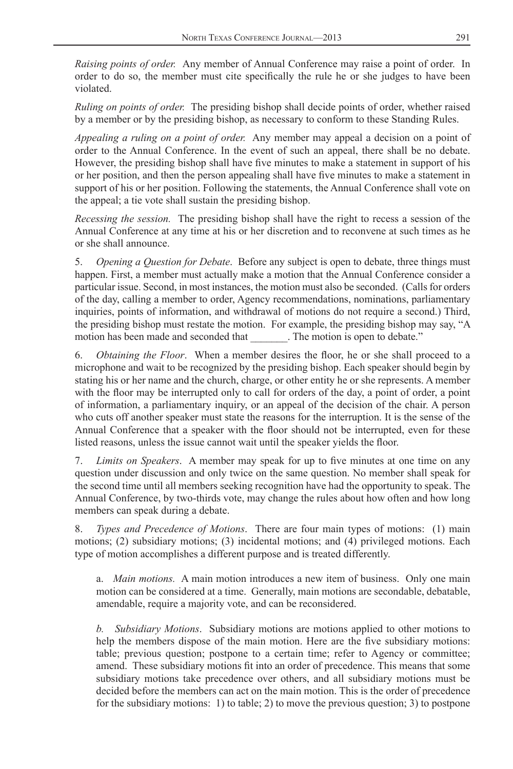*Raising points of order.* Any member of Annual Conference may raise a point of order. In order to do so, the member must cite specifically the rule he or she judges to have been violated.

*Ruling on points of order.* The presiding bishop shall decide points of order, whether raised by a member or by the presiding bishop, as necessary to conform to these Standing Rules.

*Appealing a ruling on a point of order.* Any member may appeal a decision on a point of order to the Annual Conference. In the event of such an appeal, there shall be no debate. However, the presiding bishop shall have five minutes to make a statement in support of his or her position, and then the person appealing shall have five minutes to make a statement in support of his or her position. Following the statements, the Annual Conference shall vote on the appeal; a tie vote shall sustain the presiding bishop.

*Recessing the session.* The presiding bishop shall have the right to recess a session of the Annual Conference at any time at his or her discretion and to reconvene at such times as he or she shall announce.

5. *Opening a Question for Debate*. Before any subject is open to debate, three things must happen. First, a member must actually make a motion that the Annual Conference consider a particular issue. Second, in most instances, the motion must also be seconded. (Calls for orders of the day, calling a member to order, Agency recommendations, nominations, parliamentary inquiries, points of information, and withdrawal of motions do not require a second.) Third, the presiding bishop must restate the motion. For example, the presiding bishop may say, "A motion has been made and seconded that The motion is open to debate."

6. *Obtaining the Floor.* When a member desires the floor, he or she shall proceed to a microphone and wait to be recognized by the presiding bishop. Each speaker should begin by stating his or her name and the church, charge, or other entity he or she represents. A member with the floor may be interrupted only to call for orders of the day, a point of order, a point of information, a parliamentary inquiry, or an appeal of the decision of the chair. A person who cuts off another speaker must state the reasons for the interruption. It is the sense of the Annual Conference that a speaker with the floor should not be interrupted, even for these listed reasons, unless the issue cannot wait until the speaker yields the floor.

7. *Limits on Speakers*. A member may speak for up to five minutes at one time on any question under discussion and only twice on the same question. No member shall speak for the second time until all members seeking recognition have had the opportunity to speak. The Annual Conference, by two-thirds vote, may change the rules about how often and how long members can speak during a debate.

8. *Types and Precedence of Motions*. There are four main types of motions: (1) main motions; (2) subsidiary motions; (3) incidental motions; and (4) privileged motions. Each type of motion accomplishes a different purpose and is treated differently.

a. *Main motions.* A main motion introduces a new item of business. Only one main motion can be considered at a time. Generally, main motions are secondable, debatable, amendable, require a majority vote, and can be reconsidered.

*b. Subsidiary Motions*. Subsidiary motions are motions applied to other motions to help the members dispose of the main motion. Here are the five subsidiary motions: table; previous question; postpone to a certain time; refer to Agency or committee; amend. These subsidiary motions fi t into an order of precedence. This means that some subsidiary motions take precedence over others, and all subsidiary motions must be decided before the members can act on the main motion. This is the order of precedence for the subsidiary motions: 1) to table; 2) to move the previous question; 3) to postpone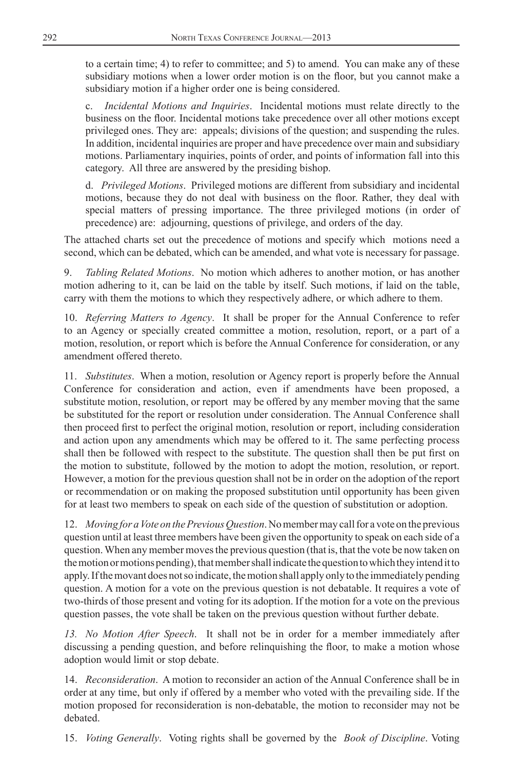to a certain time; 4) to refer to committee; and 5) to amend. You can make any of these subsidiary motions when a lower order motion is on the floor, but you cannot make a subsidiary motion if a higher order one is being considered.

c. *Incidental Motions and Inquiries*. Incidental motions must relate directly to the business on the floor. Incidental motions take precedence over all other motions except privileged ones. They are: appeals; divisions of the question; and suspending the rules. In addition, incidental inquiries are proper and have precedence over main and subsidiary motions. Parliamentary inquiries, points of order, and points of information fall into this category. All three are answered by the presiding bishop.

d. *Privileged Motions*. Privileged motions are different from subsidiary and incidental motions, because they do not deal with business on the floor. Rather, they deal with special matters of pressing importance. The three privileged motions (in order of precedence) are: adjourning, questions of privilege, and orders of the day.

The attached charts set out the precedence of motions and specify which motions need a second, which can be debated, which can be amended, and what vote is necessary for passage.

9. *Tabling Related Motions*. No motion which adheres to another motion, or has another motion adhering to it, can be laid on the table by itself. Such motions, if laid on the table, carry with them the motions to which they respectively adhere, or which adhere to them.

10. *Referring Matters to Agency*. It shall be proper for the Annual Conference to refer to an Agency or specially created committee a motion, resolution, report, or a part of a motion, resolution, or report which is before the Annual Conference for consideration, or any amendment offered thereto.

11. *Substitutes*. When a motion, resolution or Agency report is properly before the Annual Conference for consideration and action, even if amendments have been proposed, a substitute motion, resolution, or report may be offered by any member moving that the same be substituted for the report or resolution under consideration. The Annual Conference shall then proceed first to perfect the original motion, resolution or report, including consideration and action upon any amendments which may be offered to it. The same perfecting process shall then be followed with respect to the substitute. The question shall then be put first on the motion to substitute, followed by the motion to adopt the motion, resolution, or report. However, a motion for the previous question shall not be in order on the adoption of the report or recommendation or on making the proposed substitution until opportunity has been given for at least two members to speak on each side of the question of substitution or adoption.

12. *Moving for a Vote on the Previous Question*. No member may call for a vote on the previous question until at least three members have been given the opportunity to speak on each side of a question. When any member moves the previous question (that is, that the vote be now taken on the motion or motions pending), that member shall indicate the question to which they intend it to apply. If the movant does not so indicate, the motion shall apply only to the immediately pending question. A motion for a vote on the previous question is not debatable. It requires a vote of two-thirds of those present and voting for its adoption. If the motion for a vote on the previous question passes, the vote shall be taken on the previous question without further debate.

*13. No Motion After Speech*. It shall not be in order for a member immediately after discussing a pending question, and before relinquishing the floor, to make a motion whose adoption would limit or stop debate.

14. *Reconsideration*. A motion to reconsider an action of the Annual Conference shall be in order at any time, but only if offered by a member who voted with the prevailing side. If the motion proposed for reconsideration is non-debatable, the motion to reconsider may not be debated.

15. *Voting Generally*. Voting rights shall be governed by the *Book of Discipline*. Voting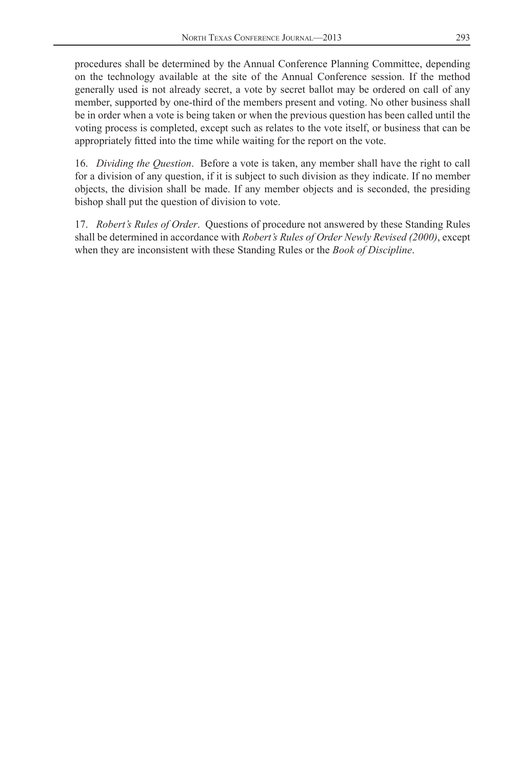procedures shall be determined by the Annual Conference Planning Committee, depending on the technology available at the site of the Annual Conference session. If the method generally used is not already secret, a vote by secret ballot may be ordered on call of any member, supported by one-third of the members present and voting. No other business shall be in order when a vote is being taken or when the previous question has been called until the voting process is completed, except such as relates to the vote itself, or business that can be appropriately fitted into the time while waiting for the report on the vote.

16. *Dividing the Question*. Before a vote is taken, any member shall have the right to call for a division of any question, if it is subject to such division as they indicate. If no member objects, the division shall be made. If any member objects and is seconded, the presiding bishop shall put the question of division to vote.

17. *Robert's Rules of Order*. Questions of procedure not answered by these Standing Rules shall be determined in accordance with *Robert's Rules of Order Newly Revised (2000)*, except when they are inconsistent with these Standing Rules or the *Book of Discipline*.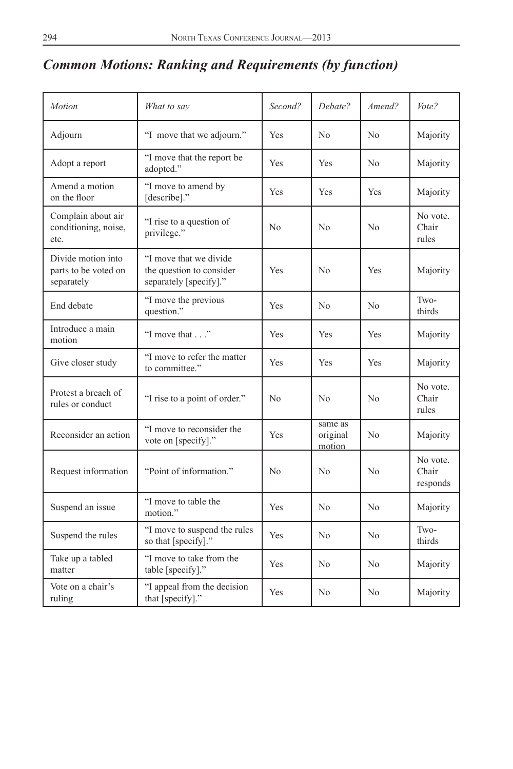# <span id="page-43-0"></span>*Common Motions: Ranking and Requirements (by function)*

| Motion                                                   | What to say                                                                  | Second?        | Debate?                       | Amend?         | Vote?                         |
|----------------------------------------------------------|------------------------------------------------------------------------------|----------------|-------------------------------|----------------|-------------------------------|
| Adjourn                                                  | "I move that we adjourn."                                                    | Yes            | N <sub>0</sub>                | No             | Majority                      |
| Adopt a report                                           | "I move that the report be<br>adopted."                                      | Yes            | Yes                           | N <sub>0</sub> | Majority                      |
| Amend a motion<br>on the floor                           | "I move to amend by<br>[describe]."                                          | Yes            | Yes                           | Yes            | Majority                      |
| Complain about air<br>conditioning, noise,<br>etc.       | "I rise to a question of<br>privilege."                                      | No             | No                            | No             | No vote.<br>Chair<br>rules    |
| Divide motion into<br>parts to be voted on<br>separately | "I move that we divide<br>the question to consider<br>separately [specify]." | Yes            | N <sub>0</sub>                | Yes            | Majority                      |
| End debate                                               | "I move the previous<br>question."                                           | Yes            | N <sub>0</sub>                | No             | Two-<br>thirds                |
| Introduce a main<br>motion                               | "I move that"                                                                | Yes            | <b>Yes</b>                    | Yes            | Majority                      |
| Give closer study                                        | "I move to refer the matter<br>to committee."                                | Yes            | <b>Yes</b>                    | Yes            | Majority                      |
| Protest a breach of<br>rules or conduct                  | "I rise to a point of order."                                                | N <sub>0</sub> | N <sub>0</sub>                | N <sub>o</sub> | No vote.<br>Chair<br>rules    |
| Reconsider an action                                     | "I move to reconsider the<br>vote on [specify]."                             | Yes            | same as<br>original<br>motion | No             | Majority                      |
| Request information                                      | "Point of information."                                                      | No             | N <sub>0</sub>                | No             | No vote.<br>Chair<br>responds |
| Suspend an issue                                         | "I move to table the<br>motion."                                             | Yes            | N <sub>0</sub>                | N <sub>0</sub> | Majority                      |
| Suspend the rules                                        | "I move to suspend the rules<br>so that [specify]."                          | Yes            | N <sub>0</sub>                | N <sub>0</sub> | Two-<br>thirds                |
| Take up a tabled<br>matter                               | "I move to take from the<br>table [specify]."                                | Yes            | N <sub>0</sub>                | No             | Majority                      |
| Vote on a chair's<br>ruling                              | "I appeal from the decision<br>that [specify]."                              | Yes            | No                            | No             | Majority                      |